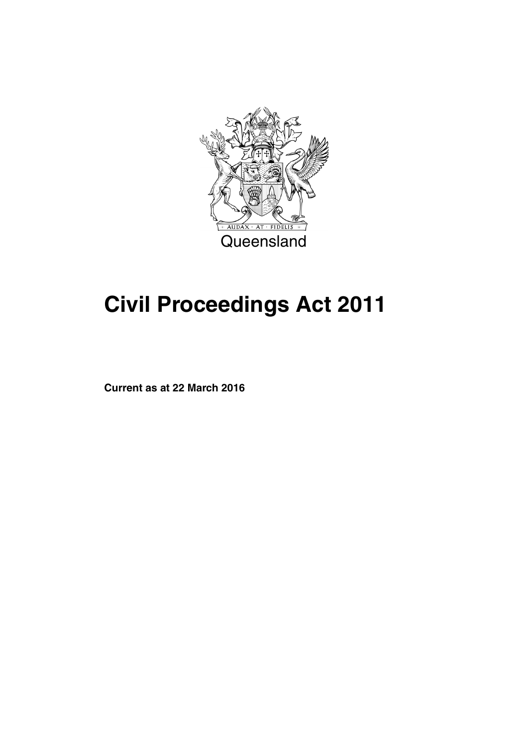

# **Civil Proceedings Act 2011**

**Current as at 22 March 2016**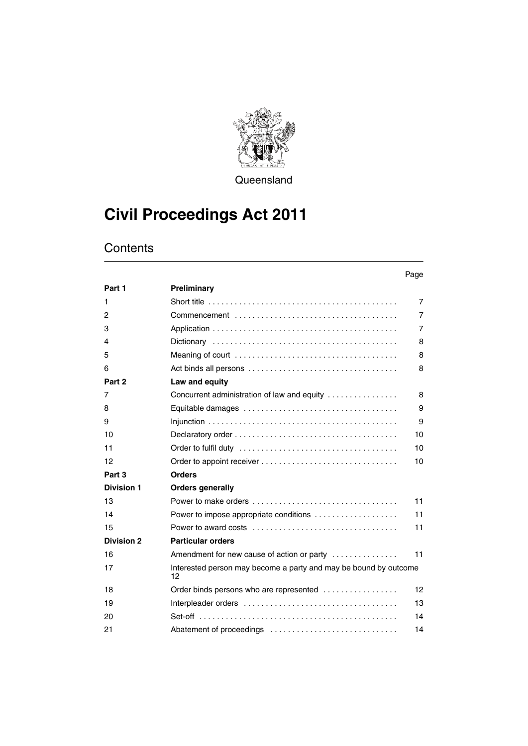

**Queensland** 

# **Civil Proceedings Act 2011**

# **Contents**

#### Page

| Part 1            | Preliminary                                                            |                |
|-------------------|------------------------------------------------------------------------|----------------|
| 1                 |                                                                        | $\overline{7}$ |
| 2                 |                                                                        | $\overline{7}$ |
| 3                 |                                                                        | $\overline{7}$ |
| 4                 |                                                                        | 8              |
| 5                 |                                                                        | 8              |
| 6                 |                                                                        | 8              |
| Part 2            | Law and equity                                                         |                |
| 7                 | Concurrent administration of law and equity                            | 8              |
| 8                 |                                                                        | 9              |
| 9                 |                                                                        | 9              |
| 10                |                                                                        | 10             |
| 11                |                                                                        | 10             |
| 12                |                                                                        | 10             |
| Part 3            | <b>Orders</b>                                                          |                |
| <b>Division 1</b> | <b>Orders generally</b>                                                |                |
| 13                |                                                                        | 11             |
| 14                | Power to impose appropriate conditions                                 | 11             |
| 15                |                                                                        | 11             |
| <b>Division 2</b> | <b>Particular orders</b>                                               |                |
| 16                | Amendment for new cause of action or party                             | 11             |
| 17                | Interested person may become a party and may be bound by outcome<br>12 |                |
| 18                | Order binds persons who are represented                                | 12             |
| 19                |                                                                        | 13             |
| 20                |                                                                        | 14             |
| 21                |                                                                        | 14             |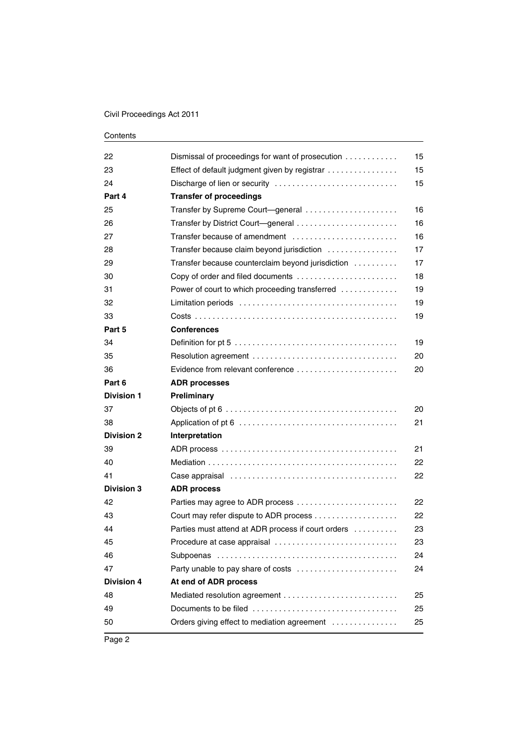| 22                | Dismissal of proceedings for want of prosecution   | 15 |
|-------------------|----------------------------------------------------|----|
| 23                | Effect of default judgment given by registrar      | 15 |
| 24                | Discharge of lien or security                      | 15 |
| Part 4            | <b>Transfer of proceedings</b>                     |    |
| 25                | Transfer by Supreme Court-general                  | 16 |
| 26                | Transfer by District Court—general                 | 16 |
| 27                | Transfer because of amendment                      | 16 |
| 28                | Transfer because claim beyond jurisdiction         | 17 |
| 29                | Transfer because counterclaim beyond jurisdiction  | 17 |
| 30                | Copy of order and filed documents                  | 18 |
| 31                | Power of court to which proceeding transferred     | 19 |
| 32                |                                                    | 19 |
| 33                |                                                    | 19 |
| Part 5            | <b>Conferences</b>                                 |    |
| 34                |                                                    | 19 |
| 35                |                                                    | 20 |
| 36                | Evidence from relevant conference                  | 20 |
| Part 6            | <b>ADR processes</b>                               |    |
| <b>Division 1</b> | Preliminary                                        |    |
| 37                |                                                    | 20 |
| 38                |                                                    | 21 |
| <b>Division 2</b> | Interpretation                                     |    |
| 39                |                                                    | 21 |
| 40                |                                                    | 22 |
| 41                |                                                    | 22 |
| <b>Division 3</b> | <b>ADR process</b>                                 |    |
| 42                | Parties may agree to ADR process                   | 22 |
| 43                |                                                    | 22 |
| 44                | Parties must attend at ADR process if court orders | 23 |
| 45                | Procedure at case appraisal                        | 23 |
| 46                |                                                    | 24 |
| 47                | Party unable to pay share of costs                 | 24 |
| <b>Division 4</b> | At end of ADR process                              |    |
| 48                |                                                    | 25 |
| 49                |                                                    | 25 |
|                   |                                                    |    |
| 50                | Orders giving effect to mediation agreement        | 25 |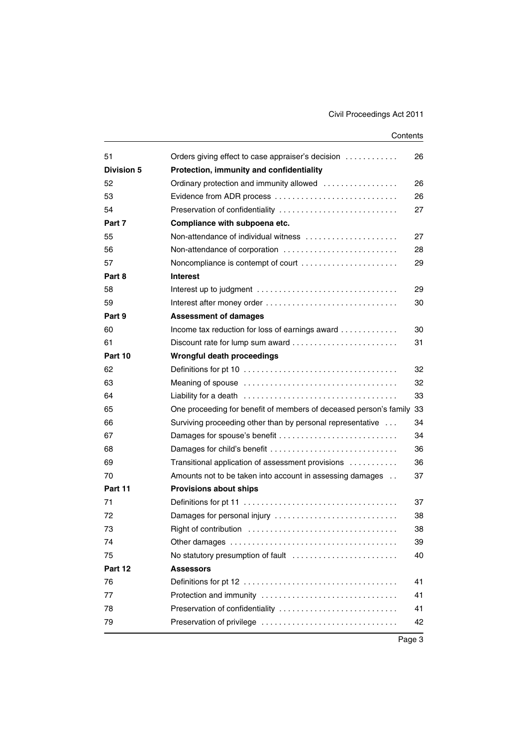| 51<br>Division 5 | Orders giving effect to case appraiser's decision                 | 26       |
|------------------|-------------------------------------------------------------------|----------|
|                  | Protection, immunity and confidentiality                          |          |
| 52               | Ordinary protection and immunity allowed                          | 26<br>26 |
| 53               | Evidence from ADR process                                         |          |
| 54               | Preservation of confidentiality                                   | 27       |
| Part 7           | Compliance with subpoena etc.                                     |          |
| 55               | Non-attendance of individual witness                              | 27       |
| 56               | Non-attendance of corporation                                     | 28       |
| 57               | Noncompliance is contempt of court                                | 29       |
| Part 8           | <b>Interest</b>                                                   |          |
| 58               |                                                                   | 29       |
| 59               | Interest after money order                                        | 30       |
| Part 9           | <b>Assessment of damages</b>                                      |          |
| 60               | Income tax reduction for loss of earnings award                   | 30       |
| 61               |                                                                   | 31       |
| Part 10          | Wrongful death proceedings                                        |          |
| 62               |                                                                   | 32       |
| 63               |                                                                   | 32       |
| 64               |                                                                   | 33       |
| 65               | One proceeding for benefit of members of deceased person's family | 33       |
| 66               | Surviving proceeding other than by personal representative        | 34       |
| 67               | Damages for spouse's benefit                                      | 34       |
| 68               | Damages for child's benefit                                       | 36       |
| 69               | Transitional application of assessment provisions                 | 36       |
| 70               | Amounts not to be taken into account in assessing damages         | 37       |
| Part 11          | <b>Provisions about ships</b>                                     |          |
| 71               |                                                                   | 37       |
| 72               | Damages for personal injury                                       | 38       |
| 73               |                                                                   | 38       |
| 74               | Other damages                                                     | 39       |
| 75               | No statutory presumption of fault                                 | 40       |
| Part 12          | <b>Assessors</b>                                                  |          |
| 76               |                                                                   | 41       |
| 77               | Protection and immunity                                           | 41       |
| 78               | Preservation of confidentiality                                   | 41       |
| 79               | Preservation of privilege                                         | 42       |
|                  |                                                                   |          |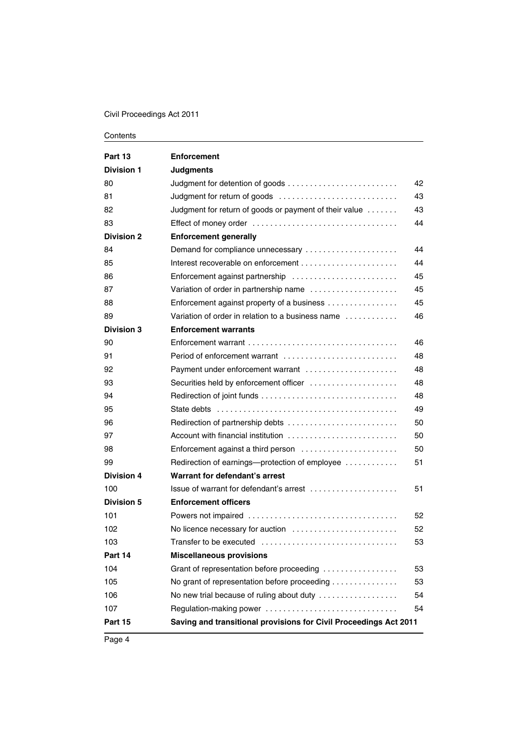| Part 13           | <b>Enforcement</b>                                                                          |    |
|-------------------|---------------------------------------------------------------------------------------------|----|
| <b>Division 1</b> | <b>Judgments</b>                                                                            |    |
| 80                |                                                                                             | 42 |
| 81                | Judgment for return of goods                                                                | 43 |
| 82                | Judgment for return of goods or payment of their value                                      | 43 |
| 83                |                                                                                             | 44 |
| <b>Division 2</b> | <b>Enforcement generally</b>                                                                |    |
| 84                | Demand for compliance unnecessary                                                           | 44 |
| 85                |                                                                                             | 44 |
| 86                | Enforcement against partnership                                                             | 45 |
| 87                | Variation of order in partnership name                                                      | 45 |
| 88                | Enforcement against property of a business                                                  | 45 |
| 89                | Variation of order in relation to a business name                                           | 46 |
| <b>Division 3</b> | <b>Enforcement warrants</b>                                                                 |    |
| 90                |                                                                                             | 46 |
| 91                |                                                                                             | 48 |
| 92                | Payment under enforcement warrant                                                           | 48 |
| 93                | Securities held by enforcement officer                                                      | 48 |
| 94                |                                                                                             | 48 |
| 95                |                                                                                             | 49 |
| 96                |                                                                                             | 50 |
| 97                | Account with financial institution $\ldots, \ldots, \ldots, \ldots, \ldots, \ldots, \ldots$ | 50 |
| 98                | Enforcement against a third person                                                          | 50 |
| 99                | Redirection of earnings—protection of employee                                              | 51 |
| <b>Division 4</b> | Warrant for defendant's arrest                                                              |    |
| 100               | $l$ ssue of warrant for defendant's arrest $l_1, l_2, l_3, l_4, l_5, l_6, l_7, l_8, l_9$    | 51 |
| <b>Division 5</b> | <b>Enforcement officers</b>                                                                 |    |
| 101               |                                                                                             | 52 |
| 102               | No licence necessary for auction                                                            | 52 |
| 103               |                                                                                             | 53 |
| Part 14           | <b>Miscellaneous provisions</b>                                                             |    |
| 104               | Grant of representation before proceeding                                                   | 53 |
| 105               | No grant of representation before proceeding                                                | 53 |
| 106               | No new trial because of ruling about duty                                                   | 54 |
| 107               | Regulation-making power                                                                     | 54 |
| Part 15           | Saving and transitional provisions for Civil Proceedings Act 2011                           |    |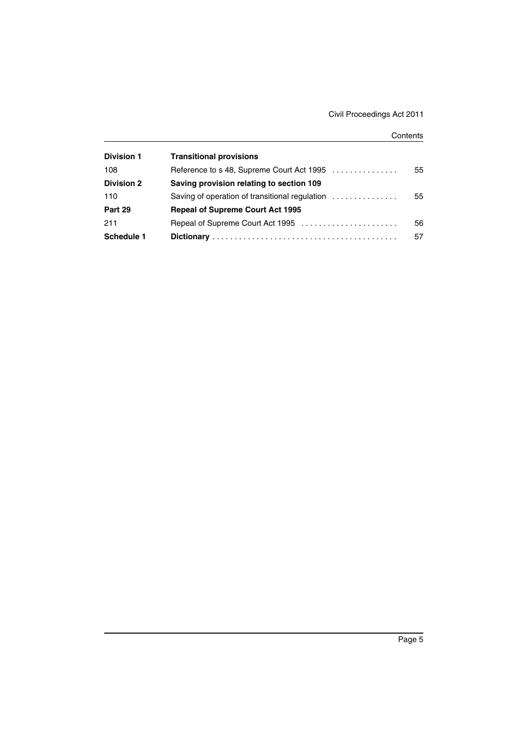| <b>Division 1</b> | <b>Transitional provisions</b>                 |    |
|-------------------|------------------------------------------------|----|
| 108               | Reference to s 48, Supreme Court Act 1995      | 55 |
| <b>Division 2</b> | Saving provision relating to section 109       |    |
| 110               | Saving of operation of transitional regulation | 55 |
| Part 29           | <b>Repeal of Supreme Court Act 1995</b>        |    |
| 211               | Repeal of Supreme Court Act 1995               | 56 |
| <b>Schedule 1</b> |                                                | 57 |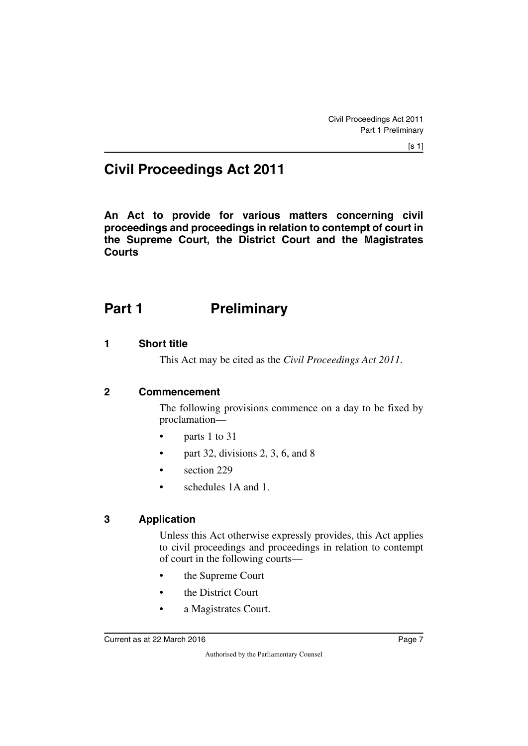# **Civil Proceedings Act 2011**

**An Act to provide for various matters concerning civil proceedings and proceedings in relation to contempt of court in the Supreme Court, the District Court and the Magistrates Courts**

# <span id="page-8-0"></span>**Part 1** Preliminary

#### <span id="page-8-2"></span>**1 Short title**

<span id="page-8-5"></span><span id="page-8-3"></span><span id="page-8-1"></span>This Act may be cited as the *Civil Proceedings Act 2011*.

#### <span id="page-8-4"></span>**2 Commencement**

The following provisions commence on a day to be fixed by proclamation—

- parts 1 to 31
- part 32, divisions 2, 3, 6, and 8
- section 229
- <span id="page-8-7"></span>• schedules 1A and 1.

#### <span id="page-8-6"></span>**3 Application**

Unless this Act otherwise expressly provides, this Act applies to civil proceedings and proceedings in relation to contempt of court in the following courts—

- the Supreme Court
- the District Court
- a Magistrates Court.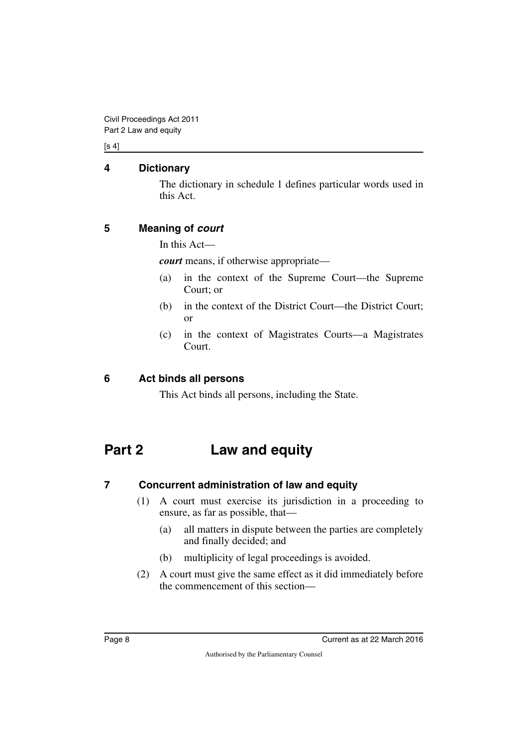$[s 4]$ 

#### <span id="page-9-0"></span>**4 Dictionary**

<span id="page-9-1"></span>The dictionary in schedule 1 defines particular words used in this Act.

### <span id="page-9-2"></span>**5 Meaning of** *court*

<span id="page-9-3"></span>In this Act—

*court* means, if otherwise appropriate—

- (a) in the context of the Supreme Court—the Supreme Court; or
- (b) in the context of the District Court—the District Court; or
- (c) in the context of Magistrates Courts—a Magistrates **Court**

### <span id="page-9-4"></span>**6 Act binds all persons**

<span id="page-9-7"></span><span id="page-9-5"></span>This Act binds all persons, including the State.

# <span id="page-9-6"></span>**Part 2 Law and equity**

### <span id="page-9-8"></span>**7 Concurrent administration of law and equity**

- <span id="page-9-9"></span>(1) A court must exercise its jurisdiction in a proceeding to ensure, as far as possible, that—
	- (a) all matters in dispute between the parties are completely and finally decided; and
	- (b) multiplicity of legal proceedings is avoided.
- (2) A court must give the same effect as it did immediately before the commencement of this section—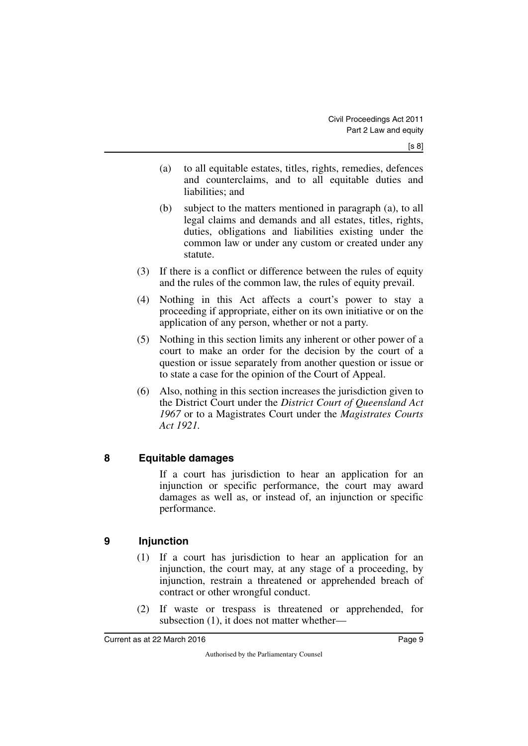- (a) to all equitable estates, titles, rights, remedies, defences and counterclaims, and to all equitable duties and liabilities; and
- (b) subject to the matters mentioned in paragraph (a), to all legal claims and demands and all estates, titles, rights, duties, obligations and liabilities existing under the common law or under any custom or created under any statute.
- (3) If there is a conflict or difference between the rules of equity and the rules of the common law, the rules of equity prevail.
- (4) Nothing in this Act affects a court's power to stay a proceeding if appropriate, either on its own initiative or on the application of any person, whether or not a party.
- (5) Nothing in this section limits any inherent or other power of a court to make an order for the decision by the court of a question or issue separately from another question or issue or to state a case for the opinion of the Court of Appeal.
- (6) Also, nothing in this section increases the jurisdiction given to the District Court under the *District Court of Queensland Act 1967* or to a Magistrates Court under the *Magistrates Courts Act 1921.*

### <span id="page-10-0"></span>**8 Equitable damages**

<span id="page-10-1"></span>If a court has jurisdiction to hear an application for an injunction or specific performance, the court may award damages as well as, or instead of, an injunction or specific performance.

#### <span id="page-10-2"></span>**9 Injunction**

- <span id="page-10-3"></span>(1) If a court has jurisdiction to hear an application for an injunction, the court may, at any stage of a proceeding, by injunction, restrain a threatened or apprehended breach of contract or other wrongful conduct.
- (2) If waste or trespass is threatened or apprehended, for subsection (1), it does not matter whether—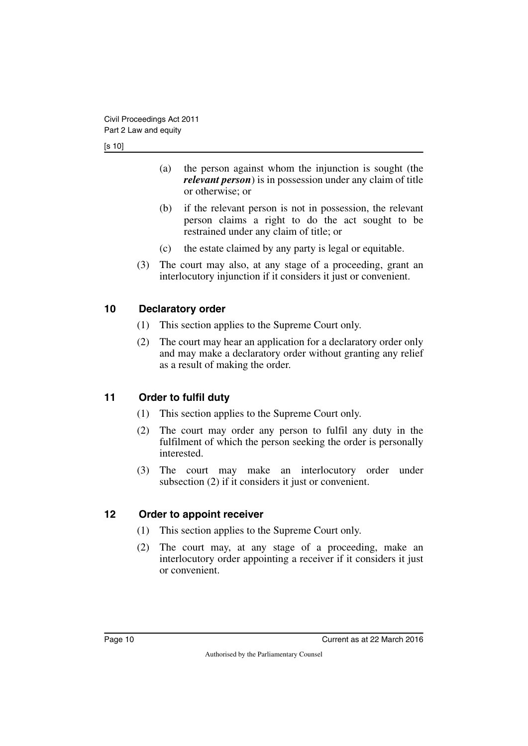- (a) the person against whom the injunction is sought (the *relevant person*) is in possession under any claim of title or otherwise; or
- (b) if the relevant person is not in possession, the relevant person claims a right to do the act sought to be restrained under any claim of title; or
- (c) the estate claimed by any party is legal or equitable.
- (3) The court may also, at any stage of a proceeding, grant an interlocutory injunction if it considers it just or convenient.

#### <span id="page-11-0"></span>**10 Declaratory order**

- <span id="page-11-1"></span>(1) This section applies to the Supreme Court only.
- (2) The court may hear an application for a declaratory order only and may make a declaratory order without granting any relief as a result of making the order.

### <span id="page-11-2"></span>**11 Order to fulfil duty**

- <span id="page-11-3"></span>(1) This section applies to the Supreme Court only.
- (2) The court may order any person to fulfil any duty in the fulfilment of which the person seeking the order is personally interested.
- (3) The court may make an interlocutory order under subsection (2) if it considers it just or convenient.

#### <span id="page-11-4"></span>**12 Order to appoint receiver**

- <span id="page-11-5"></span>(1) This section applies to the Supreme Court only.
- (2) The court may, at any stage of a proceeding, make an interlocutory order appointing a receiver if it considers it just or convenient.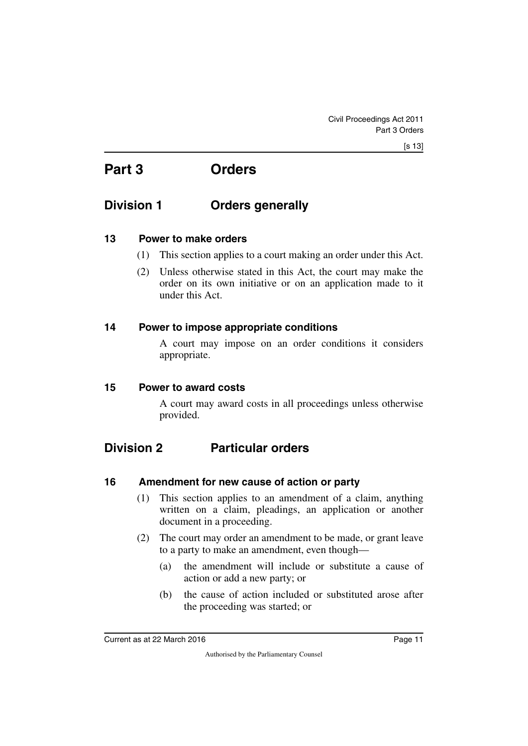# <span id="page-12-1"></span><span id="page-12-0"></span>**Part 3 Orders**

# <span id="page-12-2"></span>**Division 1 Orders generally**

#### <span id="page-12-4"></span>**13 Power to make orders**

- <span id="page-12-5"></span><span id="page-12-3"></span>(1) This section applies to a court making an order under this Act.
- (2) Unless otherwise stated in this Act, the court may make the order on its own initiative or on an application made to it under this Act.

#### <span id="page-12-6"></span>**14 Power to impose appropriate conditions**

<span id="page-12-7"></span>A court may impose on an order conditions it considers appropriate.

#### <span id="page-12-8"></span>**15 Power to award costs**

<span id="page-12-11"></span><span id="page-12-9"></span>A court may award costs in all proceedings unless otherwise provided.

# <span id="page-12-10"></span>**Division 2 Particular orders**

#### <span id="page-12-12"></span>**16 Amendment for new cause of action or party**

- <span id="page-12-13"></span>(1) This section applies to an amendment of a claim, anything written on a claim, pleadings, an application or another document in a proceeding.
- (2) The court may order an amendment to be made, or grant leave to a party to make an amendment, even though—
	- (a) the amendment will include or substitute a cause of action or add a new party; or
	- (b) the cause of action included or substituted arose after the proceeding was started; or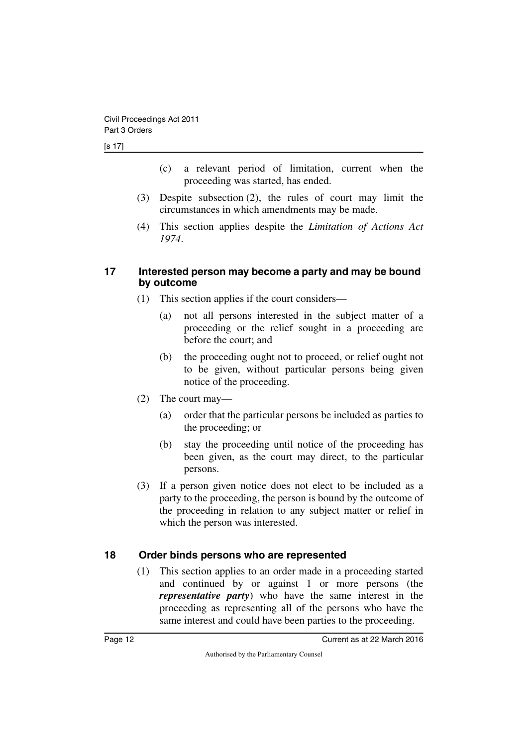[s 17]

- (c) a relevant period of limitation, current when the proceeding was started, has ended.
- (3) Despite subsection (2), the rules of court may limit the circumstances in which amendments may be made.
- (4) This section applies despite the *Limitation of Actions Act 1974*.

#### <span id="page-13-1"></span><span id="page-13-0"></span>**17 Interested person may become a party and may be bound by outcome**

- (1) This section applies if the court considers—
	- (a) not all persons interested in the subject matter of a proceeding or the relief sought in a proceeding are before the court; and
	- (b) the proceeding ought not to proceed, or relief ought not to be given, without particular persons being given notice of the proceeding.
- (2) The court may—
	- (a) order that the particular persons be included as parties to the proceeding; or
	- (b) stay the proceeding until notice of the proceeding has been given, as the court may direct, to the particular persons.
- (3) If a person given notice does not elect to be included as a party to the proceeding, the person is bound by the outcome of the proceeding in relation to any subject matter or relief in which the person was interested.

### <span id="page-13-2"></span>**18 Order binds persons who are represented**

<span id="page-13-3"></span>(1) This section applies to an order made in a proceeding started and continued by or against 1 or more persons (the *representative party*) who have the same interest in the proceeding as representing all of the persons who have the same interest and could have been parties to the proceeding.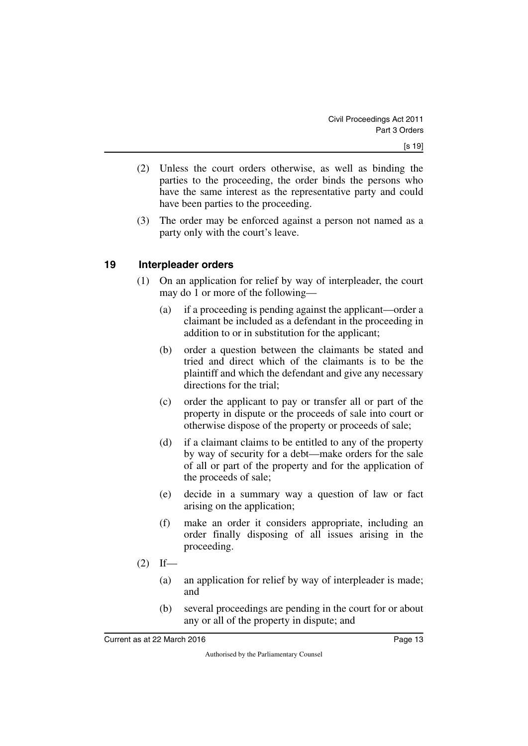- (2) Unless the court orders otherwise, as well as binding the parties to the proceeding, the order binds the persons who have the same interest as the representative party and could have been parties to the proceeding.
- (3) The order may be enforced against a person not named as a party only with the court's leave.

#### <span id="page-14-0"></span>**19 Interpleader orders**

- <span id="page-14-1"></span>(1) On an application for relief by way of interpleader, the court may do 1 or more of the following—
	- (a) if a proceeding is pending against the applicant—order a claimant be included as a defendant in the proceeding in addition to or in substitution for the applicant;
	- (b) order a question between the claimants be stated and tried and direct which of the claimants is to be the plaintiff and which the defendant and give any necessary directions for the trial;
	- (c) order the applicant to pay or transfer all or part of the property in dispute or the proceeds of sale into court or otherwise dispose of the property or proceeds of sale;
	- (d) if a claimant claims to be entitled to any of the property by way of security for a debt—make orders for the sale of all or part of the property and for the application of the proceeds of sale;
	- (e) decide in a summary way a question of law or fact arising on the application;
	- (f) make an order it considers appropriate, including an order finally disposing of all issues arising in the proceeding.
- $(2)$  If—
	- (a) an application for relief by way of interpleader is made; and
	- (b) several proceedings are pending in the court for or about any or all of the property in dispute; and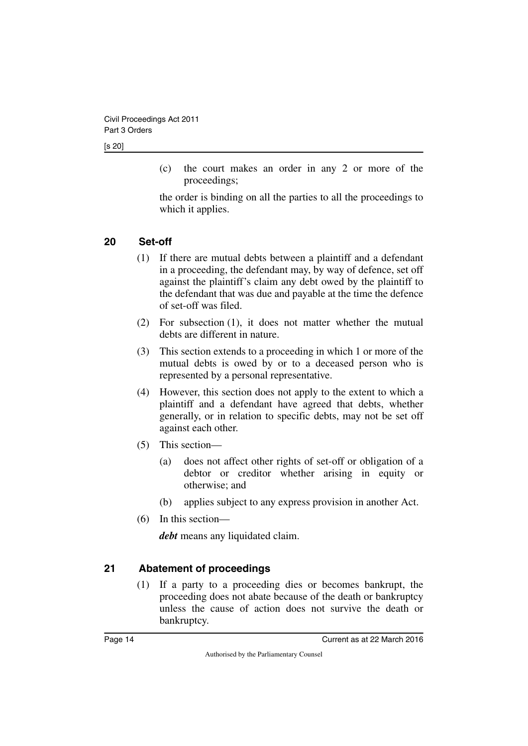[s 20]

(c) the court makes an order in any 2 or more of the proceedings;

the order is binding on all the parties to all the proceedings to which it applies.

### <span id="page-15-0"></span>**20 Set-off**

- <span id="page-15-1"></span>(1) If there are mutual debts between a plaintiff and a defendant in a proceeding, the defendant may, by way of defence, set off against the plaintiff's claim any debt owed by the plaintiff to the defendant that was due and payable at the time the defence of set-off was filed.
- (2) For subsection (1), it does not matter whether the mutual debts are different in nature.
- (3) This section extends to a proceeding in which 1 or more of the mutual debts is owed by or to a deceased person who is represented by a personal representative.
- (4) However, this section does not apply to the extent to which a plaintiff and a defendant have agreed that debts, whether generally, or in relation to specific debts, may not be set off against each other.
- (5) This section—
	- (a) does not affect other rights of set-off or obligation of a debtor or creditor whether arising in equity or otherwise; and
	- (b) applies subject to any express provision in another Act.
- (6) In this section—

*debt* means any liquidated claim.

### <span id="page-15-2"></span>**21 Abatement of proceedings**

<span id="page-15-3"></span>(1) If a party to a proceeding dies or becomes bankrupt, the proceeding does not abate because of the death or bankruptcy unless the cause of action does not survive the death or bankruptcy.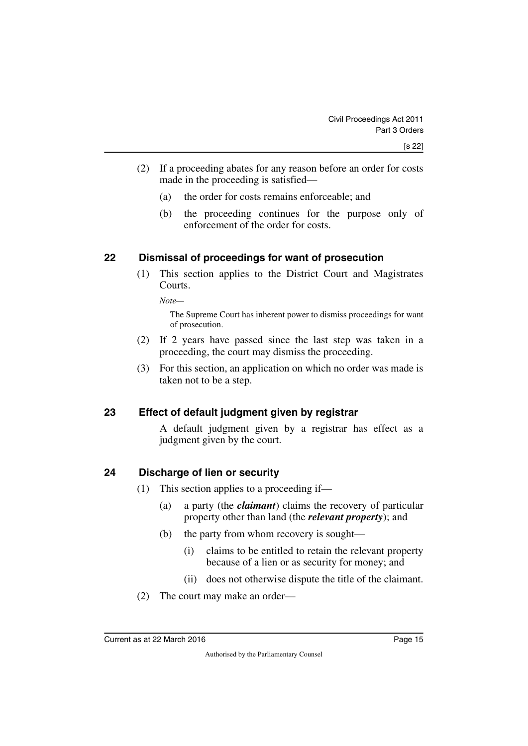- (2) If a proceeding abates for any reason before an order for costs made in the proceeding is satisfied—
	- (a) the order for costs remains enforceable; and
	- (b) the proceeding continues for the purpose only of enforcement of the order for costs.

#### <span id="page-16-0"></span>**22 Dismissal of proceedings for want of prosecution**

<span id="page-16-1"></span>(1) This section applies to the District Court and Magistrates Courts.

*Note—*

The Supreme Court has inherent power to dismiss proceedings for want of prosecution.

- (2) If 2 years have passed since the last step was taken in a proceeding, the court may dismiss the proceeding.
- (3) For this section, an application on which no order was made is taken not to be a step.

#### <span id="page-16-2"></span>**23 Effect of default judgment given by registrar**

<span id="page-16-3"></span>A default judgment given by a registrar has effect as a judgment given by the court.

#### <span id="page-16-4"></span>**24 Discharge of lien or security**

- <span id="page-16-5"></span>(1) This section applies to a proceeding if—
	- (a) a party (the *claimant*) claims the recovery of particular property other than land (the *relevant property*); and
	- (b) the party from whom recovery is sought—
		- (i) claims to be entitled to retain the relevant property because of a lien or as security for money; and
		- (ii) does not otherwise dispute the title of the claimant.
- (2) The court may make an order—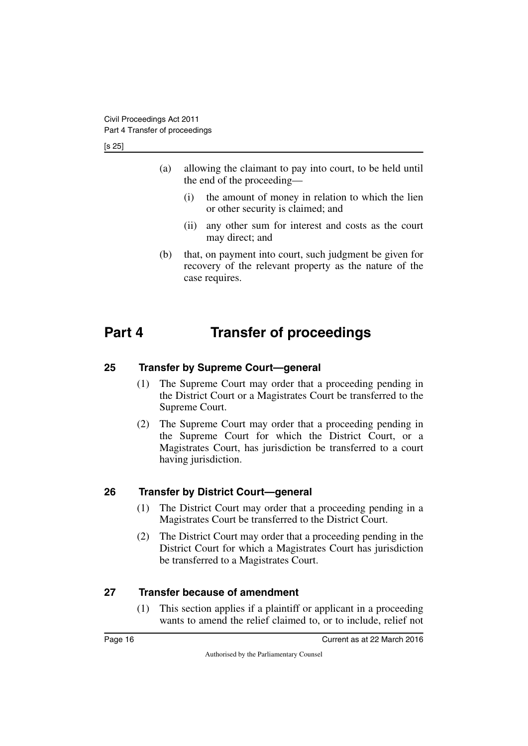[s 25]

- (a) allowing the claimant to pay into court, to be held until the end of the proceeding—
	- (i) the amount of money in relation to which the lien or other security is claimed; and
	- (ii) any other sum for interest and costs as the court may direct; and
- <span id="page-17-1"></span>(b) that, on payment into court, such judgment be given for recovery of the relevant property as the nature of the case requires.

# <span id="page-17-0"></span>**Part 4 Transfer of proceedings**

#### <span id="page-17-2"></span>**25 Transfer by Supreme Court—general**

- <span id="page-17-3"></span>(1) The Supreme Court may order that a proceeding pending in the District Court or a Magistrates Court be transferred to the Supreme Court.
- (2) The Supreme Court may order that a proceeding pending in the Supreme Court for which the District Court, or a Magistrates Court, has jurisdiction be transferred to a court having jurisdiction.

### <span id="page-17-4"></span>**26 Transfer by District Court—general**

- <span id="page-17-5"></span>(1) The District Court may order that a proceeding pending in a Magistrates Court be transferred to the District Court.
- (2) The District Court may order that a proceeding pending in the District Court for which a Magistrates Court has jurisdiction be transferred to a Magistrates Court.

### <span id="page-17-6"></span>**27 Transfer because of amendment**

<span id="page-17-7"></span>(1) This section applies if a plaintiff or applicant in a proceeding wants to amend the relief claimed to, or to include, relief not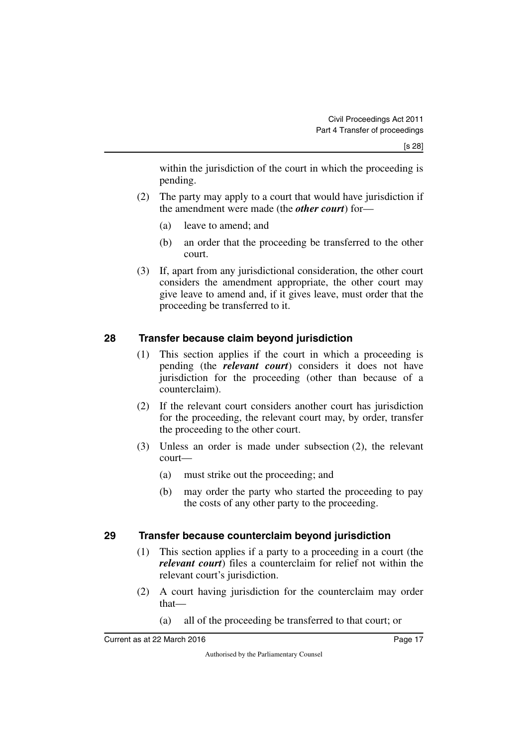within the jurisdiction of the court in which the proceeding is pending.

- (2) The party may apply to a court that would have jurisdiction if the amendment were made (the *other court*) for—
	- (a) leave to amend; and
	- (b) an order that the proceeding be transferred to the other court.
- (3) If, apart from any jurisdictional consideration, the other court considers the amendment appropriate, the other court may give leave to amend and, if it gives leave, must order that the proceeding be transferred to it.

#### <span id="page-18-0"></span>**28 Transfer because claim beyond jurisdiction**

- <span id="page-18-1"></span>(1) This section applies if the court in which a proceeding is pending (the *relevant court*) considers it does not have jurisdiction for the proceeding (other than because of a counterclaim).
- (2) If the relevant court considers another court has jurisdiction for the proceeding, the relevant court may, by order, transfer the proceeding to the other court.
- (3) Unless an order is made under subsection (2), the relevant court—
	- (a) must strike out the proceeding; and
	- (b) may order the party who started the proceeding to pay the costs of any other party to the proceeding.

### <span id="page-18-2"></span>**29 Transfer because counterclaim beyond jurisdiction**

- <span id="page-18-3"></span>(1) This section applies if a party to a proceeding in a court (the *relevant court*) files a counterclaim for relief not within the relevant court's jurisdiction.
- (2) A court having jurisdiction for the counterclaim may order that—
	- (a) all of the proceeding be transferred to that court; or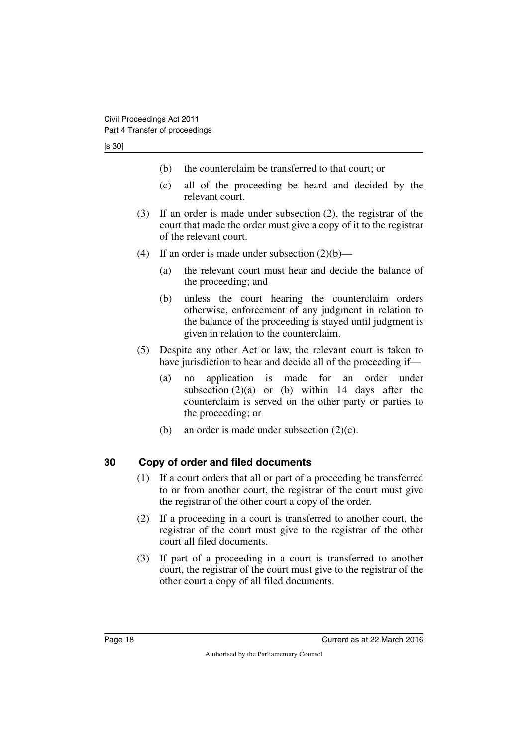#### [s 30]

- (b) the counterclaim be transferred to that court; or
- (c) all of the proceeding be heard and decided by the relevant court.
- (3) If an order is made under subsection (2), the registrar of the court that made the order must give a copy of it to the registrar of the relevant court.
- (4) If an order is made under subsection  $(2)(b)$ 
	- (a) the relevant court must hear and decide the balance of the proceeding; and
	- (b) unless the court hearing the counterclaim orders otherwise, enforcement of any judgment in relation to the balance of the proceeding is stayed until judgment is given in relation to the counterclaim.
- (5) Despite any other Act or law, the relevant court is taken to have jurisdiction to hear and decide all of the proceeding if—
	- (a) no application is made for an order under subsection  $(2)(a)$  or (b) within 14 days after the counterclaim is served on the other party or parties to the proceeding; or
	- (b) an order is made under subsection  $(2)(c)$ .

#### <span id="page-19-0"></span>**30 Copy of order and filed documents**

- <span id="page-19-1"></span>(1) If a court orders that all or part of a proceeding be transferred to or from another court, the registrar of the court must give the registrar of the other court a copy of the order.
- (2) If a proceeding in a court is transferred to another court, the registrar of the court must give to the registrar of the other court all filed documents.
- (3) If part of a proceeding in a court is transferred to another court, the registrar of the court must give to the registrar of the other court a copy of all filed documents.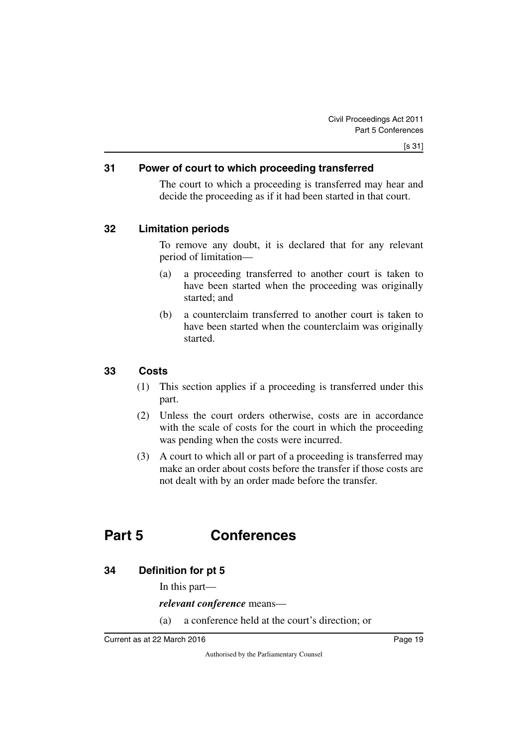#### <span id="page-20-0"></span>**31 Power of court to which proceeding transferred**

<span id="page-20-1"></span>The court to which a proceeding is transferred may hear and decide the proceeding as if it had been started in that court.

#### <span id="page-20-2"></span>**32 Limitation periods**

<span id="page-20-3"></span>To remove any doubt, it is declared that for any relevant period of limitation—

- (a) a proceeding transferred to another court is taken to have been started when the proceeding was originally started; and
- (b) a counterclaim transferred to another court is taken to have been started when the counterclaim was originally started.

#### <span id="page-20-4"></span>**33 Costs**

- <span id="page-20-5"></span>(1) This section applies if a proceeding is transferred under this part.
- (2) Unless the court orders otherwise, costs are in accordance with the scale of costs for the court in which the proceeding was pending when the costs were incurred.
- (3) A court to which all or part of a proceeding is transferred may make an order about costs before the transfer if those costs are not dealt with by an order made before the transfer.

# <span id="page-20-6"></span>**Part 5 Conferences**

#### <span id="page-20-8"></span>**34 Definition for pt 5**

<span id="page-20-9"></span><span id="page-20-7"></span>In this part—

*relevant conference* means—

(a) a conference held at the court's direction; or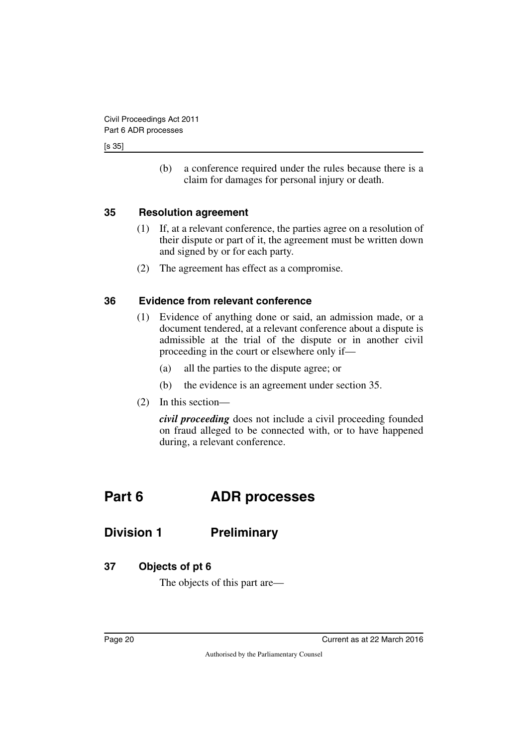#### [s 35]

(b) a conference required under the rules because there is a claim for damages for personal injury or death.

#### <span id="page-21-0"></span>**35 Resolution agreement**

- <span id="page-21-1"></span>(1) If, at a relevant conference, the parties agree on a resolution of their dispute or part of it, the agreement must be written down and signed by or for each party.
- <span id="page-21-3"></span>(2) The agreement has effect as a compromise.

#### <span id="page-21-2"></span>**36 Evidence from relevant conference**

- (1) Evidence of anything done or said, an admission made, or a document tendered, at a relevant conference about a dispute is admissible at the trial of the dispute or in another civil proceeding in the court or elsewhere only if—
	- (a) all the parties to the dispute agree; or
	- (b) the evidence is an agreement under section 35.
- (2) In this section—

<span id="page-21-5"></span>*civil proceeding* does not include a civil proceeding founded on fraud alleged to be connected with, or to have happened during, a relevant conference.

# <span id="page-21-4"></span>**Part 6 ADR processes**

### <span id="page-21-6"></span>**Division 1 Preliminary**

#### <span id="page-21-8"></span>**37 Objects of pt 6**

<span id="page-21-9"></span><span id="page-21-7"></span>The objects of this part are—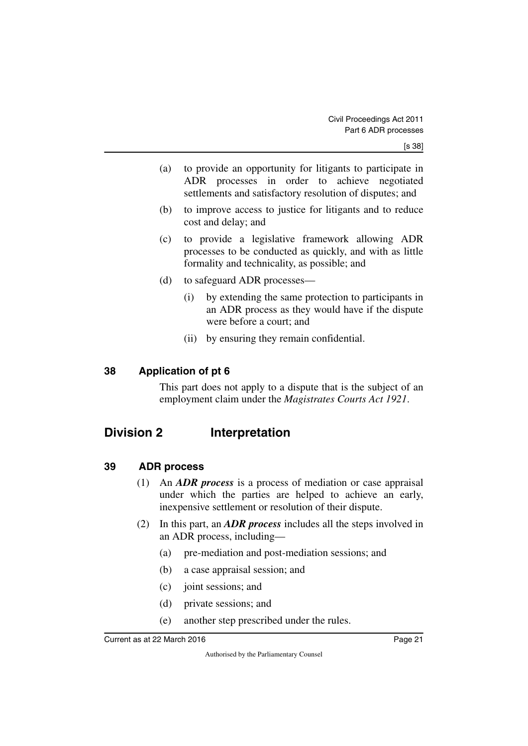- (a) to provide an opportunity for litigants to participate in ADR processes in order to achieve negotiated settlements and satisfactory resolution of disputes; and
- (b) to improve access to justice for litigants and to reduce cost and delay; and
- (c) to provide a legislative framework allowing ADR processes to be conducted as quickly, and with as little formality and technicality, as possible; and
- (d) to safeguard ADR processes—
	- (i) by extending the same protection to participants in an ADR process as they would have if the dispute were before a court; and
	- (ii) by ensuring they remain confidential.

#### <span id="page-22-0"></span>**38 Application of pt 6**

<span id="page-22-3"></span><span id="page-22-1"></span>This part does not apply to a dispute that is the subject of an employment claim under the *Magistrates Courts Act 1921*.

# <span id="page-22-2"></span>**Division 2 Interpretation**

#### <span id="page-22-4"></span>**39 ADR process**

- <span id="page-22-5"></span>(1) An *ADR process* is a process of mediation or case appraisal under which the parties are helped to achieve an early, inexpensive settlement or resolution of their dispute.
- (2) In this part, an *ADR process* includes all the steps involved in an ADR process, including—
	- (a) pre-mediation and post-mediation sessions; and
	- (b) a case appraisal session; and
	- (c) joint sessions; and
	- (d) private sessions; and
	- (e) another step prescribed under the rules.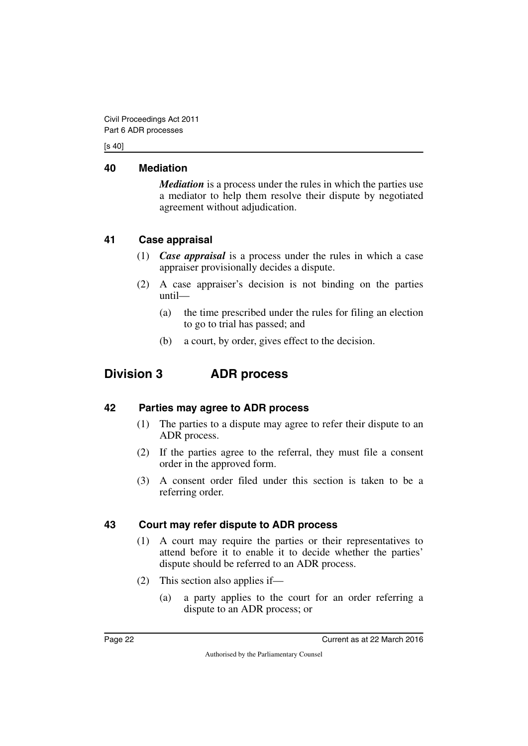[s 40]

#### <span id="page-23-0"></span>**40 Mediation**

<span id="page-23-1"></span>*Mediation* is a process under the rules in which the parties use a mediator to help them resolve their dispute by negotiated agreement without adjudication.

### <span id="page-23-2"></span>**41 Case appraisal**

- <span id="page-23-3"></span>(1) *Case appraisal* is a process under the rules in which a case appraiser provisionally decides a dispute.
- (2) A case appraiser's decision is not binding on the parties until—
	- (a) the time prescribed under the rules for filing an election to go to trial has passed; and
	- (b) a court, by order, gives effect to the decision.

# <span id="page-23-4"></span>**Division 3 ADR process**

### <span id="page-23-6"></span>**42 Parties may agree to ADR process**

- <span id="page-23-7"></span><span id="page-23-5"></span>(1) The parties to a dispute may agree to refer their dispute to an ADR process.
- (2) If the parties agree to the referral, they must file a consent order in the approved form.
- (3) A consent order filed under this section is taken to be a referring order.

### <span id="page-23-8"></span>**43 Court may refer dispute to ADR process**

- <span id="page-23-9"></span>(1) A court may require the parties or their representatives to attend before it to enable it to decide whether the parties' dispute should be referred to an ADR process.
- (2) This section also applies if—
	- (a) a party applies to the court for an order referring a dispute to an ADR process; or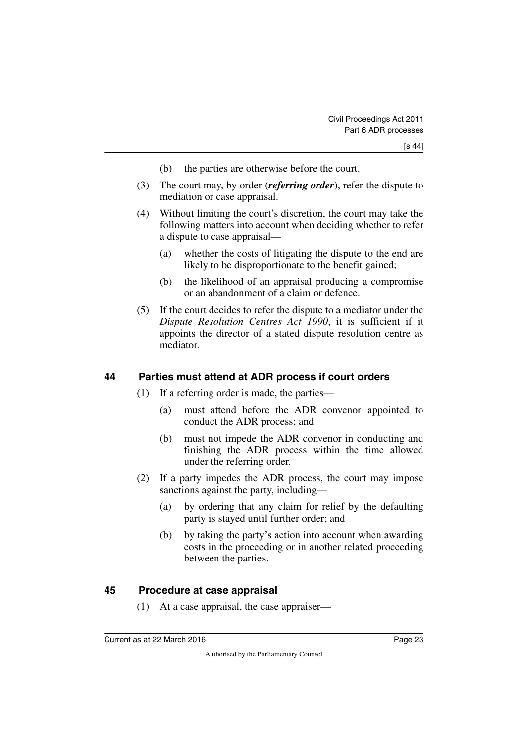- (b) the parties are otherwise before the court.
- (3) The court may, by order (*referring order*), refer the dispute to mediation or case appraisal.
- (4) Without limiting the court's discretion, the court may take the following matters into account when deciding whether to refer a dispute to case appraisal—
	- (a) whether the costs of litigating the dispute to the end are likely to be disproportionate to the benefit gained;
	- (b) the likelihood of an appraisal producing a compromise or an abandonment of a claim or defence.
- (5) If the court decides to refer the dispute to a mediator under the *Dispute Resolution Centres Act 1990*, it is sufficient if it appoints the director of a stated dispute resolution centre as mediator.

#### <span id="page-24-0"></span>**44 Parties must attend at ADR process if court orders**

- <span id="page-24-1"></span>(1) If a referring order is made, the parties—
	- (a) must attend before the ADR convenor appointed to conduct the ADR process; and
	- (b) must not impede the ADR convenor in conducting and finishing the ADR process within the time allowed under the referring order.
- (2) If a party impedes the ADR process, the court may impose sanctions against the party, including—
	- (a) by ordering that any claim for relief by the defaulting party is stayed until further order; and
	- (b) by taking the party's action into account when awarding costs in the proceeding or in another related proceeding between the parties.

#### <span id="page-24-2"></span>**45 Procedure at case appraisal**

<span id="page-24-3"></span>(1) At a case appraisal, the case appraiser—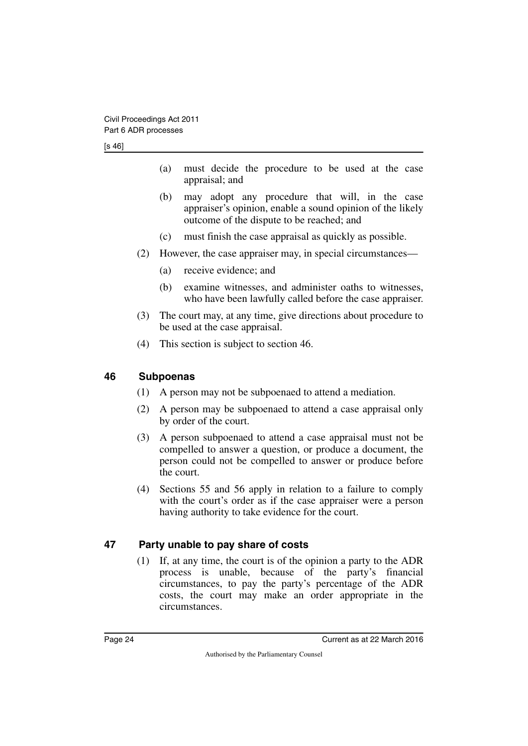- (a) must decide the procedure to be used at the case appraisal; and
- (b) may adopt any procedure that will, in the case appraiser's opinion, enable a sound opinion of the likely outcome of the dispute to be reached; and
- (c) must finish the case appraisal as quickly as possible.
- (2) However, the case appraiser may, in special circumstances—
	- (a) receive evidence; and
	- (b) examine witnesses, and administer oaths to witnesses, who have been lawfully called before the case appraiser.
- (3) The court may, at any time, give directions about procedure to be used at the case appraisal.
- <span id="page-25-1"></span>(4) This section is subject to section 46.

#### <span id="page-25-0"></span>**46 Subpoenas**

- (1) A person may not be subpoenaed to attend a mediation.
- (2) A person may be subpoenaed to attend a case appraisal only by order of the court.
- (3) A person subpoenaed to attend a case appraisal must not be compelled to answer a question, or produce a document, the person could not be compelled to answer or produce before the court.
- (4) Sections 55 and 56 apply in relation to a failure to comply with the court's order as if the case appraiser were a person having authority to take evidence for the court.

#### <span id="page-25-2"></span>**47 Party unable to pay share of costs**

<span id="page-25-3"></span>(1) If, at any time, the court is of the opinion a party to the ADR process is unable, because of the party's financial circumstances, to pay the party's percentage of the ADR costs, the court may make an order appropriate in the circumstances.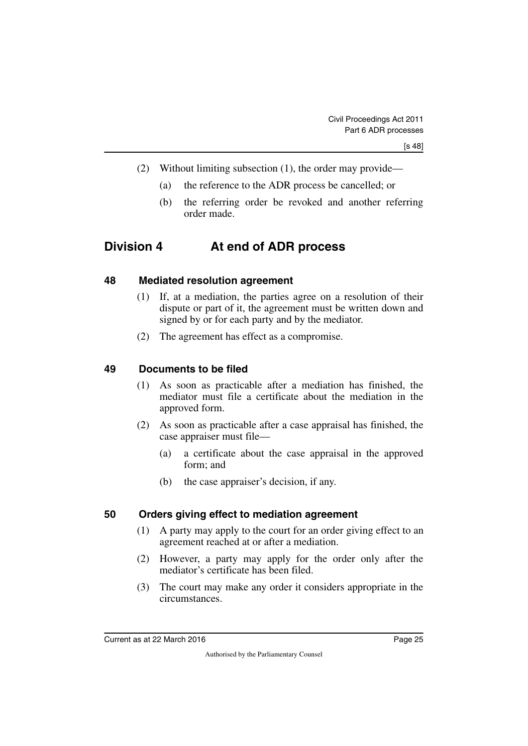- (2) Without limiting subsection (1), the order may provide—
	- (a) the reference to the ADR process be cancelled; or
	- (b) the referring order be revoked and another referring order made.

# <span id="page-26-0"></span>**Division 4 At end of ADR process**

#### <span id="page-26-2"></span>**48 Mediated resolution agreement**

- <span id="page-26-3"></span><span id="page-26-1"></span>(1) If, at a mediation, the parties agree on a resolution of their dispute or part of it, the agreement must be written down and signed by or for each party and by the mediator.
- <span id="page-26-5"></span>(2) The agreement has effect as a compromise.

#### <span id="page-26-4"></span>**49 Documents to be filed**

- (1) As soon as practicable after a mediation has finished, the mediator must file a certificate about the mediation in the approved form.
- (2) As soon as practicable after a case appraisal has finished, the case appraiser must file—
	- (a) a certificate about the case appraisal in the approved form; and
	- (b) the case appraiser's decision, if any.

#### <span id="page-26-6"></span>**50 Orders giving effect to mediation agreement**

- <span id="page-26-7"></span>(1) A party may apply to the court for an order giving effect to an agreement reached at or after a mediation.
- (2) However, a party may apply for the order only after the mediator's certificate has been filed.
- (3) The court may make any order it considers appropriate in the circumstances.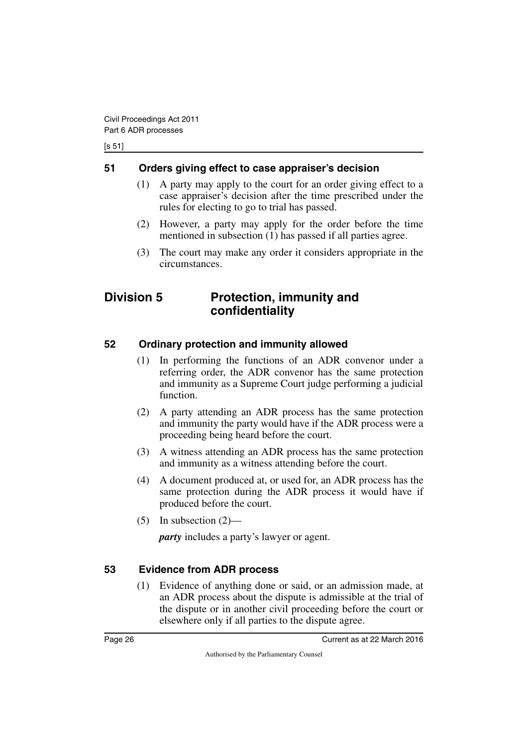[s 51]

#### <span id="page-27-0"></span>**51 Orders giving effect to case appraiser's decision**

- <span id="page-27-1"></span>(1) A party may apply to the court for an order giving effect to a case appraiser's decision after the time prescribed under the rules for electing to go to trial has passed.
- (2) However, a party may apply for the order before the time mentioned in subsection (1) has passed if all parties agree.
- <span id="page-27-3"></span>(3) The court may make any order it considers appropriate in the circumstances.

### <span id="page-27-2"></span>**Division 5 Protection, immunity and confidentiality**

### <span id="page-27-4"></span>**52 Ordinary protection and immunity allowed**

- <span id="page-27-5"></span>(1) In performing the functions of an ADR convenor under a referring order, the ADR convenor has the same protection and immunity as a Supreme Court judge performing a judicial function.
- (2) A party attending an ADR process has the same protection and immunity the party would have if the ADR process were a proceeding being heard before the court.
- (3) A witness attending an ADR process has the same protection and immunity as a witness attending before the court.
- (4) A document produced at, or used for, an ADR process has the same protection during the ADR process it would have if produced before the court.
- $(5)$  In subsection  $(2)$ —

*party* includes a party's lawyer or agent.

### <span id="page-27-6"></span>**53 Evidence from ADR process**

<span id="page-27-7"></span>(1) Evidence of anything done or said, or an admission made, at an ADR process about the dispute is admissible at the trial of the dispute or in another civil proceeding before the court or elsewhere only if all parties to the dispute agree.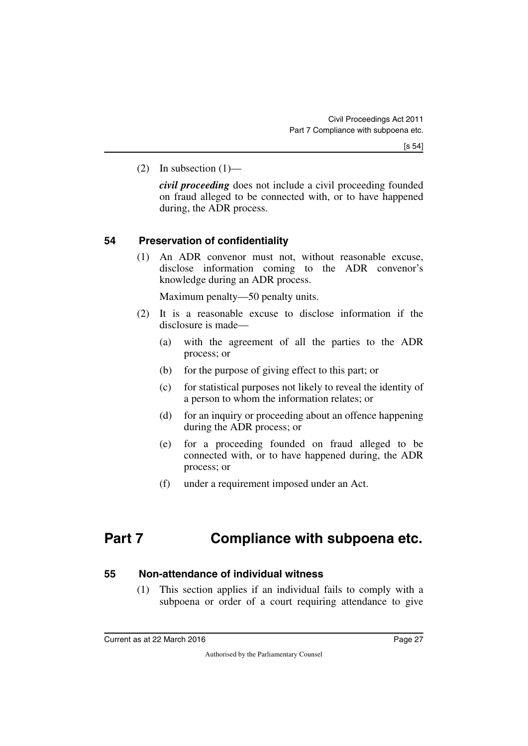(2) In subsection  $(1)$ —

*civil proceeding* does not include a civil proceeding founded on fraud alleged to be connected with, or to have happened during, the ADR process.

#### <span id="page-28-0"></span>**54 Preservation of confidentiality**

<span id="page-28-1"></span>(1) An ADR convenor must not, without reasonable excuse, disclose information coming to the ADR convenor's knowledge during an ADR process.

Maximum penalty—50 penalty units.

- (2) It is a reasonable excuse to disclose information if the disclosure is made—
	- (a) with the agreement of all the parties to the ADR process; or
	- (b) for the purpose of giving effect to this part; or
	- (c) for statistical purposes not likely to reveal the identity of a person to whom the information relates; or
	- (d) for an inquiry or proceeding about an offence happening during the ADR process; or
	- (e) for a proceeding founded on fraud alleged to be connected with, or to have happened during, the ADR process; or
	- (f) under a requirement imposed under an Act.

# <span id="page-28-2"></span>**Part 7 Compliance with subpoena etc.**

#### <span id="page-28-4"></span>**55 Non-attendance of individual witness**

<span id="page-28-5"></span><span id="page-28-3"></span>(1) This section applies if an individual fails to comply with a subpoena or order of a court requiring attendance to give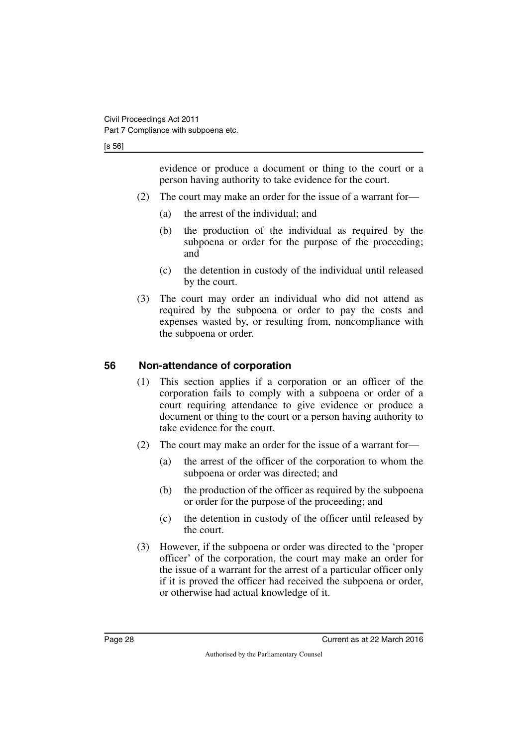[s 56]

evidence or produce a document or thing to the court or a person having authority to take evidence for the court.

- (2) The court may make an order for the issue of a warrant for—
	- (a) the arrest of the individual; and
	- (b) the production of the individual as required by the subpoena or order for the purpose of the proceeding; and
	- (c) the detention in custody of the individual until released by the court.
- (3) The court may order an individual who did not attend as required by the subpoena or order to pay the costs and expenses wasted by, or resulting from, noncompliance with the subpoena or order.

### <span id="page-29-0"></span>**56 Non-attendance of corporation**

- <span id="page-29-1"></span>(1) This section applies if a corporation or an officer of the corporation fails to comply with a subpoena or order of a court requiring attendance to give evidence or produce a document or thing to the court or a person having authority to take evidence for the court.
- (2) The court may make an order for the issue of a warrant for—
	- (a) the arrest of the officer of the corporation to whom the subpoena or order was directed; and
	- (b) the production of the officer as required by the subpoena or order for the purpose of the proceeding; and
	- (c) the detention in custody of the officer until released by the court.
- (3) However, if the subpoena or order was directed to the 'proper officer' of the corporation, the court may make an order for the issue of a warrant for the arrest of a particular officer only if it is proved the officer had received the subpoena or order, or otherwise had actual knowledge of it.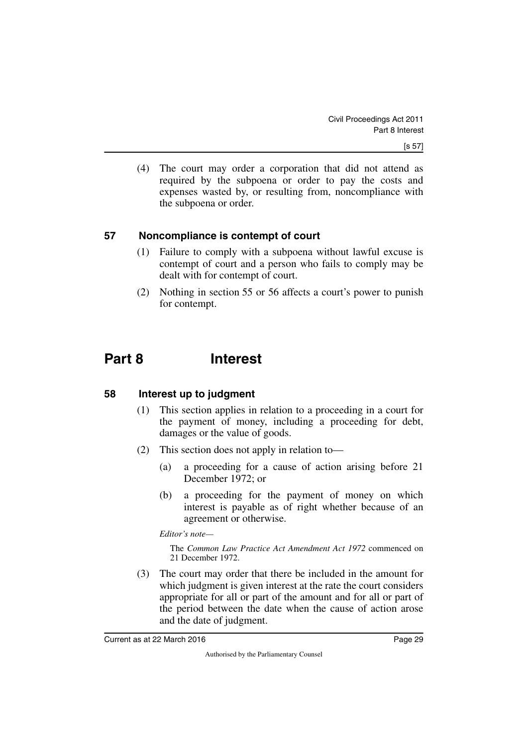(4) The court may order a corporation that did not attend as required by the subpoena or order to pay the costs and expenses wasted by, or resulting from, noncompliance with the subpoena or order.

#### <span id="page-30-0"></span>**57 Noncompliance is contempt of court**

- <span id="page-30-1"></span>(1) Failure to comply with a subpoena without lawful excuse is contempt of court and a person who fails to comply may be dealt with for contempt of court.
- <span id="page-30-3"></span>(2) Nothing in section 55 or 56 affects a court's power to punish for contempt.

# <span id="page-30-2"></span>**Part 8 Interest**

#### <span id="page-30-4"></span>**58 Interest up to judgment**

- <span id="page-30-5"></span>(1) This section applies in relation to a proceeding in a court for the payment of money, including a proceeding for debt, damages or the value of goods.
- (2) This section does not apply in relation to—
	- (a) a proceeding for a cause of action arising before 21 December 1972; or
	- (b) a proceeding for the payment of money on which interest is payable as of right whether because of an agreement or otherwise.

*Editor's note—*

The *Common Law Practice Act Amendment Act 1972* commenced on 21 December 1972.

(3) The court may order that there be included in the amount for which judgment is given interest at the rate the court considers appropriate for all or part of the amount and for all or part of the period between the date when the cause of action arose and the date of judgment.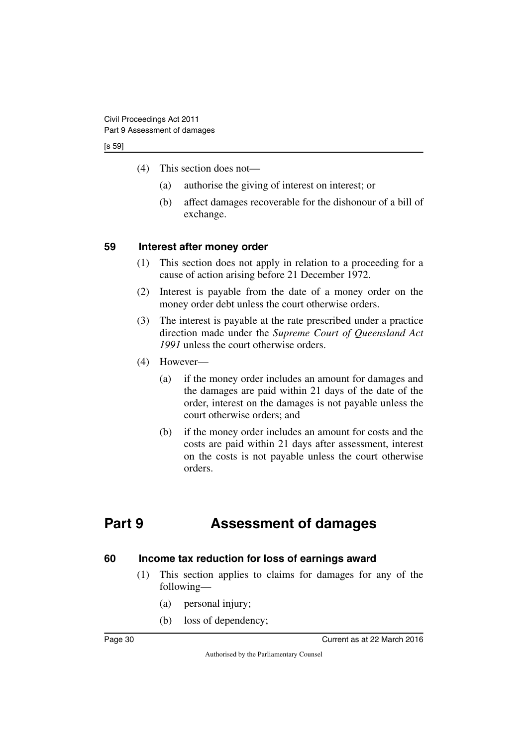[s 59]

- (4) This section does not—
	- (a) authorise the giving of interest on interest; or
	- (b) affect damages recoverable for the dishonour of a bill of exchange.

#### <span id="page-31-0"></span>**59 Interest after money order**

- <span id="page-31-1"></span>(1) This section does not apply in relation to a proceeding for a cause of action arising before 21 December 1972.
- (2) Interest is payable from the date of a money order on the money order debt unless the court otherwise orders.
- (3) The interest is payable at the rate prescribed under a practice direction made under the *Supreme Court of Queensland Act 1991* unless the court otherwise orders.
- (4) However—
	- (a) if the money order includes an amount for damages and the damages are paid within 21 days of the date of the order, interest on the damages is not payable unless the court otherwise orders; and
	- (b) if the money order includes an amount for costs and the costs are paid within 21 days after assessment, interest on the costs is not payable unless the court otherwise orders.

# <span id="page-31-2"></span>**Part 9 Assessment of damages**

#### <span id="page-31-4"></span>**60 Income tax reduction for loss of earnings award**

- <span id="page-31-5"></span><span id="page-31-3"></span>(1) This section applies to claims for damages for any of the following—
	- (a) personal injury;
	- (b) loss of dependency;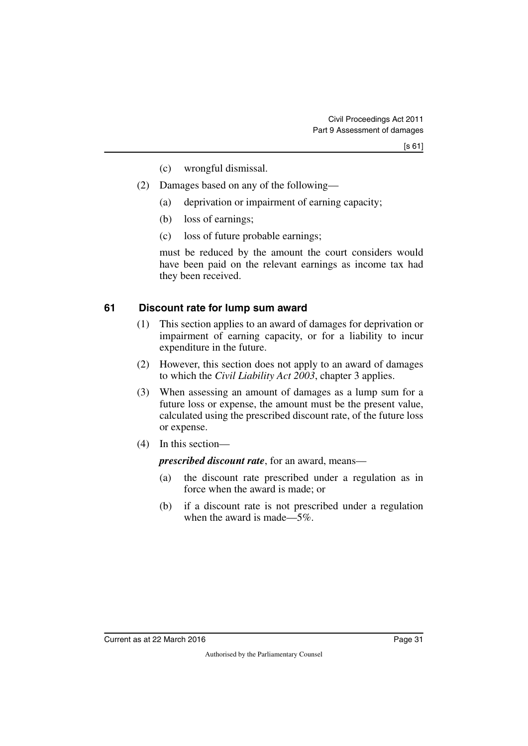- (c) wrongful dismissal.
- (2) Damages based on any of the following—
	- (a) deprivation or impairment of earning capacity;
	- (b) loss of earnings;
	- (c) loss of future probable earnings;

must be reduced by the amount the court considers would have been paid on the relevant earnings as income tax had they been received.

#### <span id="page-32-0"></span>**61 Discount rate for lump sum award**

- <span id="page-32-1"></span>(1) This section applies to an award of damages for deprivation or impairment of earning capacity, or for a liability to incur expenditure in the future.
- (2) However, this section does not apply to an award of damages to which the *Civil Liability Act 2003*, chapter 3 applies.
- (3) When assessing an amount of damages as a lump sum for a future loss or expense, the amount must be the present value, calculated using the prescribed discount rate, of the future loss or expense.
- (4) In this section—

*prescribed discount rate*, for an award, means—

- (a) the discount rate prescribed under a regulation as in force when the award is made; or
- (b) if a discount rate is not prescribed under a regulation when the award is made—5%.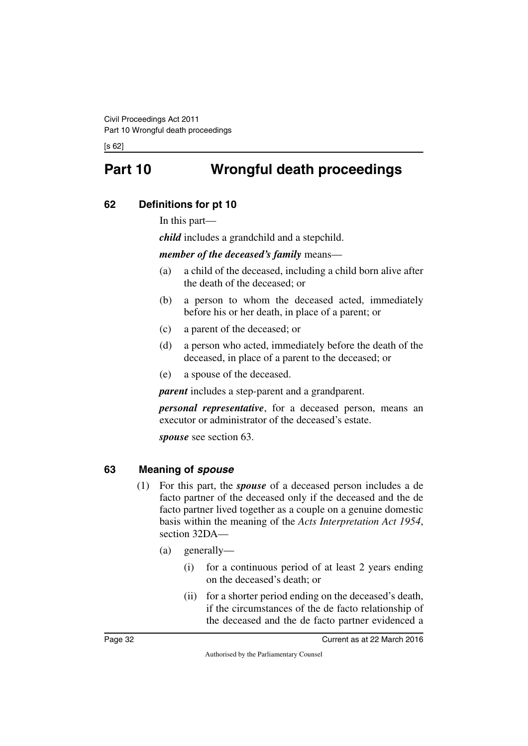<span id="page-33-0"></span>[s 62]

# **Part 10 Wrongful death proceedings**

### <span id="page-33-2"></span>**62 Definitions for pt 10**

<span id="page-33-3"></span><span id="page-33-1"></span>In this part—

*child* includes a grandchild and a stepchild.

*member of the deceased's family* means—

- (a) a child of the deceased, including a child born alive after the death of the deceased; or
- (b) a person to whom the deceased acted, immediately before his or her death, in place of a parent; or
- (c) a parent of the deceased; or
- (d) a person who acted, immediately before the death of the deceased, in place of a parent to the deceased; or
- (e) a spouse of the deceased.

*parent* includes a step-parent and a grandparent.

*personal representative*, for a deceased person, means an executor or administrator of the deceased's estate.

*spouse* see section 63.

#### <span id="page-33-4"></span>**63 Meaning of** *spouse*

- <span id="page-33-5"></span>(1) For this part, the *spouse* of a deceased person includes a de facto partner of the deceased only if the deceased and the de facto partner lived together as a couple on a genuine domestic basis within the meaning of the *Acts Interpretation Act 1954*, section 32DA—
	- (a) generally—
		- (i) for a continuous period of at least 2 years ending on the deceased's death; or
		- (ii) for a shorter period ending on the deceased's death, if the circumstances of the de facto relationship of the deceased and the de facto partner evidenced a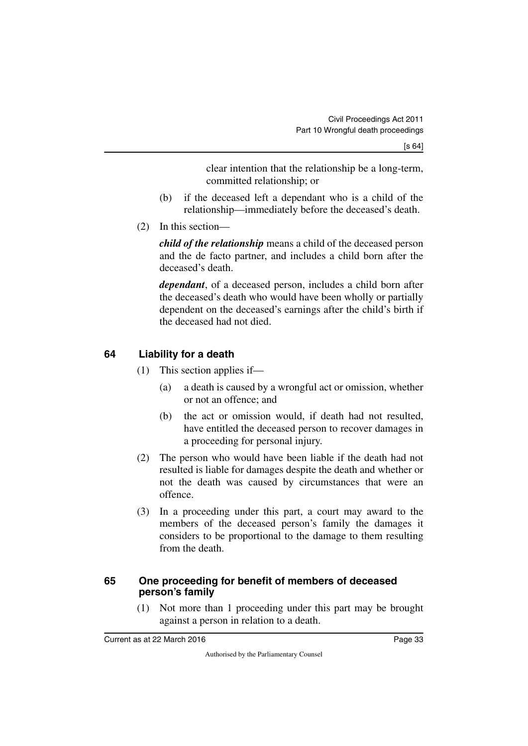clear intention that the relationship be a long-term, committed relationship; or

- (b) if the deceased left a dependant who is a child of the relationship—immediately before the deceased's death.
- (2) In this section—

*child of the relationship* means a child of the deceased person and the de facto partner, and includes a child born after the deceased's death.

*dependant*, of a deceased person, includes a child born after the deceased's death who would have been wholly or partially dependent on the deceased's earnings after the child's birth if the deceased had not died.

### <span id="page-34-0"></span>**64 Liability for a death**

- <span id="page-34-1"></span>(1) This section applies if—
	- (a) a death is caused by a wrongful act or omission, whether or not an offence; and
	- (b) the act or omission would, if death had not resulted, have entitled the deceased person to recover damages in a proceeding for personal injury.
- (2) The person who would have been liable if the death had not resulted is liable for damages despite the death and whether or not the death was caused by circumstances that were an offence.
- (3) In a proceeding under this part, a court may award to the members of the deceased person's family the damages it considers to be proportional to the damage to them resulting from the death.

#### <span id="page-34-2"></span>**65 One proceeding for benefit of members of deceased person's family**

<span id="page-34-3"></span>(1) Not more than 1 proceeding under this part may be brought against a person in relation to a death.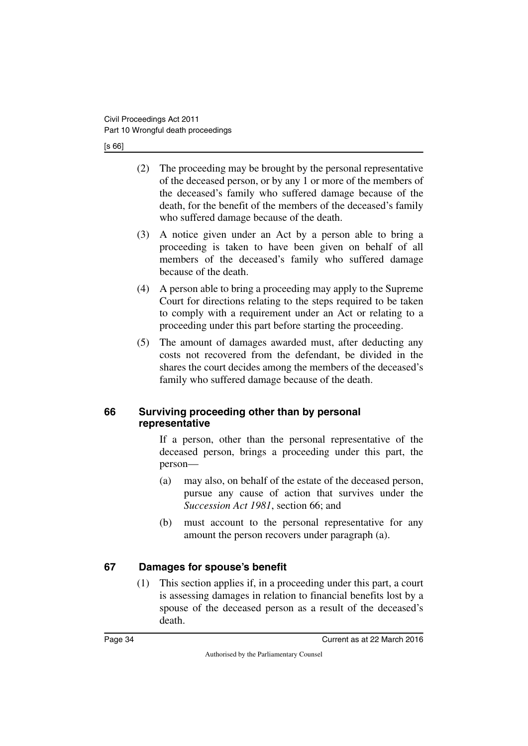[s 66]

- (2) The proceeding may be brought by the personal representative of the deceased person, or by any 1 or more of the members of the deceased's family who suffered damage because of the death, for the benefit of the members of the deceased's family who suffered damage because of the death.
- (3) A notice given under an Act by a person able to bring a proceeding is taken to have been given on behalf of all members of the deceased's family who suffered damage because of the death.
- (4) A person able to bring a proceeding may apply to the Supreme Court for directions relating to the steps required to be taken to comply with a requirement under an Act or relating to a proceeding under this part before starting the proceeding.
- (5) The amount of damages awarded must, after deducting any costs not recovered from the defendant, be divided in the shares the court decides among the members of the deceased's family who suffered damage because of the death.

#### <span id="page-35-1"></span><span id="page-35-0"></span>**66 Surviving proceeding other than by personal representative**

If a person, other than the personal representative of the deceased person, brings a proceeding under this part, the person—

- (a) may also, on behalf of the estate of the deceased person, pursue any cause of action that survives under the *Succession Act 1981*, section 66; and
- (b) must account to the personal representative for any amount the person recovers under paragraph (a).

### <span id="page-35-2"></span>**67 Damages for spouse's benefit**

<span id="page-35-3"></span>(1) This section applies if, in a proceeding under this part, a court is assessing damages in relation to financial benefits lost by a spouse of the deceased person as a result of the deceased's death.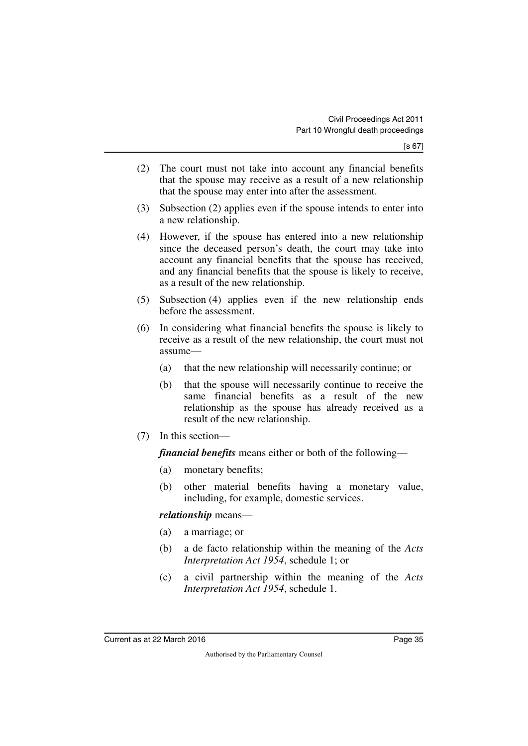- (2) The court must not take into account any financial benefits that the spouse may receive as a result of a new relationship that the spouse may enter into after the assessment.
- (3) Subsection (2) applies even if the spouse intends to enter into a new relationship.
- (4) However, if the spouse has entered into a new relationship since the deceased person's death, the court may take into account any financial benefits that the spouse has received, and any financial benefits that the spouse is likely to receive, as a result of the new relationship.
- (5) Subsection (4) applies even if the new relationship ends before the assessment.
- (6) In considering what financial benefits the spouse is likely to receive as a result of the new relationship, the court must not assume—
	- (a) that the new relationship will necessarily continue; or
	- (b) that the spouse will necessarily continue to receive the same financial benefits as a result of the new relationship as the spouse has already received as a result of the new relationship.
- (7) In this section—

*financial benefits* means either or both of the following—

- (a) monetary benefits;
- (b) other material benefits having a monetary value, including, for example, domestic services.

*relationship* means—

- (a) a marriage; or
- (b) a de facto relationship within the meaning of the *Acts Interpretation Act 1954*, schedule 1; or
- (c) a civil partnership within the meaning of the *Acts Interpretation Act 1954*, schedule 1.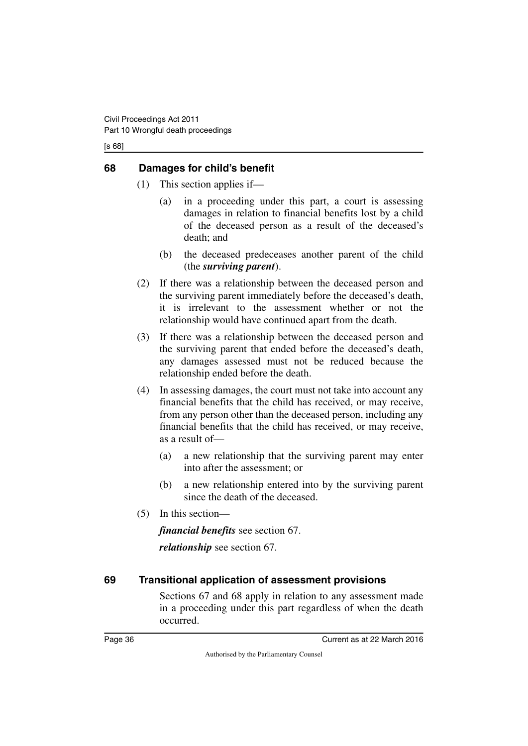[s 68]

#### <span id="page-37-0"></span>**68 Damages for child's benefit**

- <span id="page-37-1"></span>(1) This section applies if—
	- (a) in a proceeding under this part, a court is assessing damages in relation to financial benefits lost by a child of the deceased person as a result of the deceased's death; and
	- (b) the deceased predeceases another parent of the child (the *surviving parent*).
- (2) If there was a relationship between the deceased person and the surviving parent immediately before the deceased's death, it is irrelevant to the assessment whether or not the relationship would have continued apart from the death.
- (3) If there was a relationship between the deceased person and the surviving parent that ended before the deceased's death, any damages assessed must not be reduced because the relationship ended before the death.
- (4) In assessing damages, the court must not take into account any financial benefits that the child has received, or may receive, from any person other than the deceased person, including any financial benefits that the child has received, or may receive, as a result of—
	- (a) a new relationship that the surviving parent may enter into after the assessment; or
	- (b) a new relationship entered into by the surviving parent since the death of the deceased.
- (5) In this section—

*financial benefits* see section 67. *relationship* see section 67.

### <span id="page-37-2"></span>**69 Transitional application of assessment provisions**

<span id="page-37-3"></span>Sections 67 and 68 apply in relation to any assessment made in a proceeding under this part regardless of when the death occurred.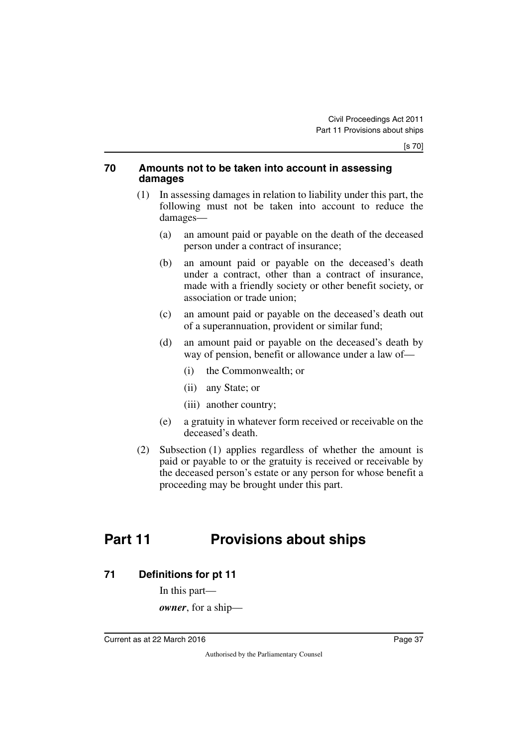#### <span id="page-38-0"></span>**70 Amounts not to be taken into account in assessing damages**

- <span id="page-38-1"></span>(1) In assessing damages in relation to liability under this part, the following must not be taken into account to reduce the damages—
	- (a) an amount paid or payable on the death of the deceased person under a contract of insurance;
	- (b) an amount paid or payable on the deceased's death under a contract, other than a contract of insurance, made with a friendly society or other benefit society, or association or trade union;
	- (c) an amount paid or payable on the deceased's death out of a superannuation, provident or similar fund;
	- (d) an amount paid or payable on the deceased's death by way of pension, benefit or allowance under a law of—
		- (i) the Commonwealth; or
		- (ii) any State; or
		- (iii) another country;
	- (e) a gratuity in whatever form received or receivable on the deceased's death.
- (2) Subsection (1) applies regardless of whether the amount is paid or payable to or the gratuity is received or receivable by the deceased person's estate or any person for whose benefit a proceeding may be brought under this part.

# <span id="page-38-2"></span>**Part 11 Provisions about ships**

<span id="page-38-4"></span>**71 Definitions for pt 11**

<span id="page-38-5"></span><span id="page-38-3"></span>In this part—

*owner*, for a ship—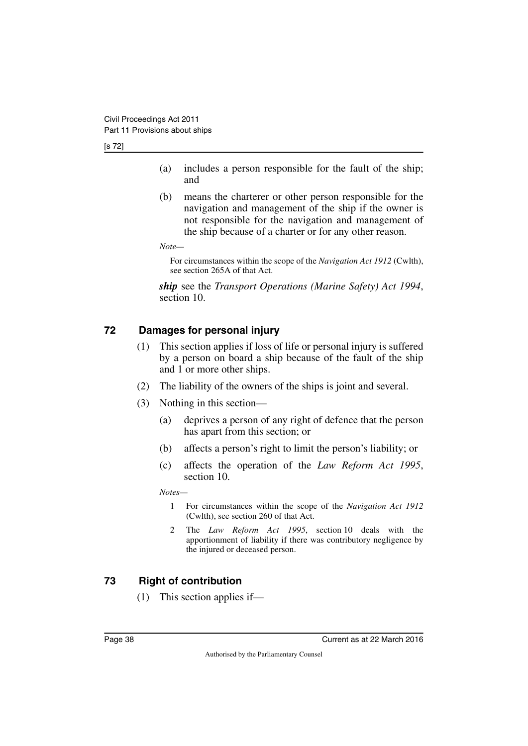[s 72]

- (a) includes a person responsible for the fault of the ship; and
- (b) means the charterer or other person responsible for the navigation and management of the ship if the owner is not responsible for the navigation and management of the ship because of a charter or for any other reason.

*Note—*

For circumstances within the scope of the *Navigation Act 1912* (Cwlth), see section 265A of that Act.

*ship* see the *Transport Operations (Marine Safety) Act 1994*, section 10.

### <span id="page-39-0"></span>**72 Damages for personal injury**

- <span id="page-39-1"></span>(1) This section applies if loss of life or personal injury is suffered by a person on board a ship because of the fault of the ship and 1 or more other ships.
- (2) The liability of the owners of the ships is joint and several.
- (3) Nothing in this section—
	- (a) deprives a person of any right of defence that the person has apart from this section; or
	- (b) affects a person's right to limit the person's liability; or
	- (c) affects the operation of the *Law Reform Act 1995*, section 10.

*Notes—*

- 1 For circumstances within the scope of the *Navigation Act 1912* (Cwlth), see section 260 of that Act.
- 2 The *Law Reform Act 1995*, section 10 deals with the apportionment of liability if there was contributory negligence by the injured or deceased person.

### <span id="page-39-2"></span>**73 Right of contribution**

<span id="page-39-3"></span>(1) This section applies if—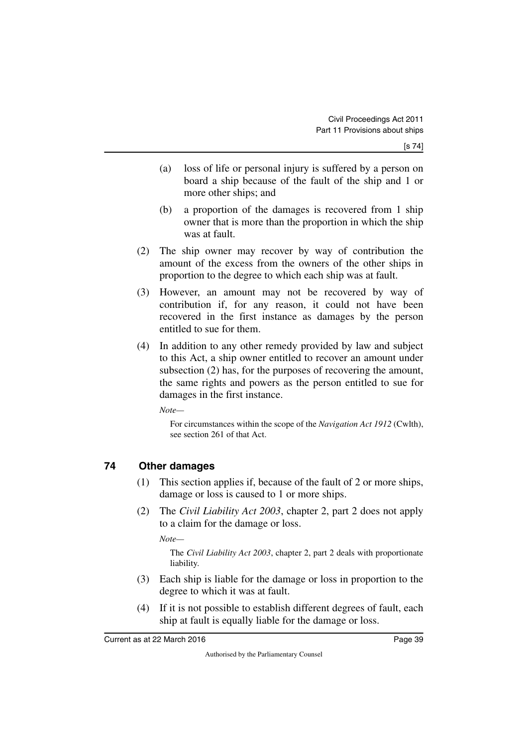- (a) loss of life or personal injury is suffered by a person on board a ship because of the fault of the ship and 1 or more other ships; and
- (b) a proportion of the damages is recovered from 1 ship owner that is more than the proportion in which the ship was at fault.
- (2) The ship owner may recover by way of contribution the amount of the excess from the owners of the other ships in proportion to the degree to which each ship was at fault.
- (3) However, an amount may not be recovered by way of contribution if, for any reason, it could not have been recovered in the first instance as damages by the person entitled to sue for them.
- (4) In addition to any other remedy provided by law and subject to this Act, a ship owner entitled to recover an amount under subsection (2) has, for the purposes of recovering the amount, the same rights and powers as the person entitled to sue for damages in the first instance.

*Note—*

For circumstances within the scope of the *Navigation Act 1912* (Cwlth), see section 261 of that Act.

#### <span id="page-40-0"></span>**74 Other damages**

- <span id="page-40-1"></span>(1) This section applies if, because of the fault of 2 or more ships, damage or loss is caused to 1 or more ships.
- (2) The *Civil Liability Act 2003*, chapter 2, part 2 does not apply to a claim for the damage or loss.

*Note—*

The *Civil Liability Act 2003*, chapter 2, part 2 deals with proportionate liability.

- (3) Each ship is liable for the damage or loss in proportion to the degree to which it was at fault.
- (4) If it is not possible to establish different degrees of fault, each ship at fault is equally liable for the damage or loss.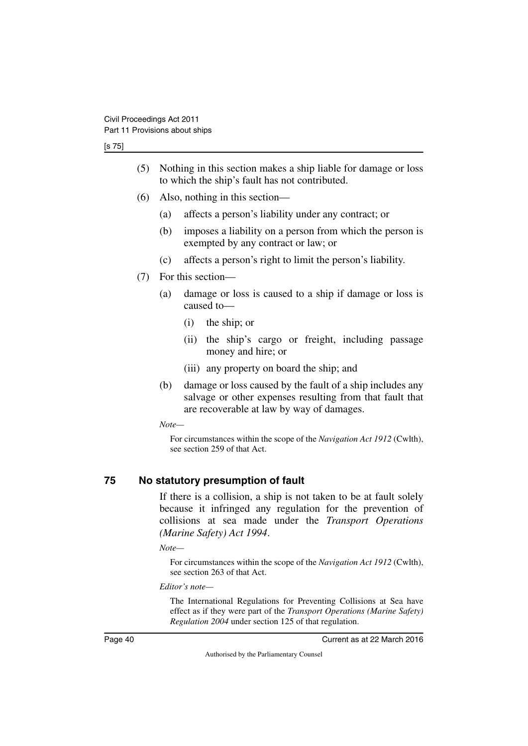[s 75]

- (5) Nothing in this section makes a ship liable for damage or loss to which the ship's fault has not contributed.
- (6) Also, nothing in this section—
	- (a) affects a person's liability under any contract; or
	- (b) imposes a liability on a person from which the person is exempted by any contract or law; or
	- (c) affects a person's right to limit the person's liability.
- (7) For this section—
	- (a) damage or loss is caused to a ship if damage or loss is caused to—
		- (i) the ship; or
		- (ii) the ship's cargo or freight, including passage money and hire; or
		- (iii) any property on board the ship; and
	- (b) damage or loss caused by the fault of a ship includes any salvage or other expenses resulting from that fault that are recoverable at law by way of damages.

*Note—*

For circumstances within the scope of the *Navigation Act 1912* (Cwlth), see section 259 of that Act.

#### <span id="page-41-0"></span>**75 No statutory presumption of fault**

<span id="page-41-1"></span>If there is a collision, a ship is not taken to be at fault solely because it infringed any regulation for the prevention of collisions at sea made under the *Transport Operations (Marine Safety) Act 1994*.

*Note—*

For circumstances within the scope of the *Navigation Act 1912* (Cwlth), see section 263 of that Act.

*Editor's note—*

The International Regulations for Preventing Collisions at Sea have effect as if they were part of the *Transport Operations (Marine Safety) Regulation 2004* under section 125 of that regulation.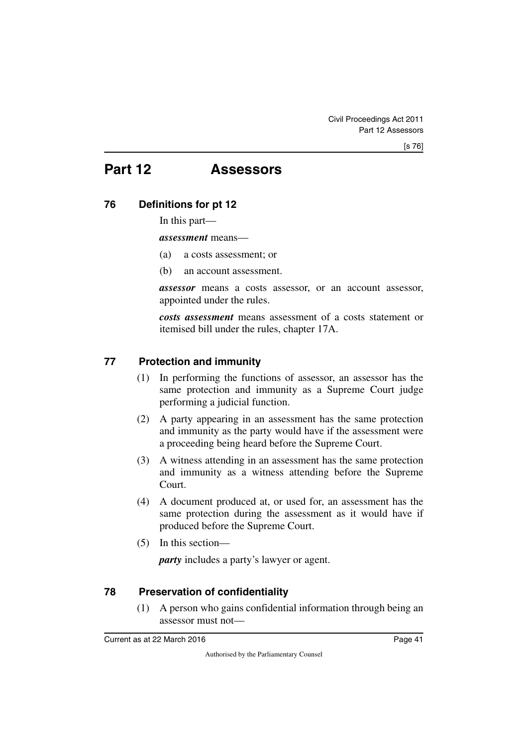# <span id="page-42-0"></span>**Part 12 Assessors**

### <span id="page-42-2"></span>**76 Definitions for pt 12**

<span id="page-42-3"></span><span id="page-42-1"></span>In this part—

*assessment* means—

- (a) a costs assessment; or
- (b) an account assessment.

*assessor* means a costs assessor, or an account assessor, appointed under the rules.

*costs assessment* means assessment of a costs statement or itemised bill under the rules, chapter 17A.

#### <span id="page-42-4"></span>**77 Protection and immunity**

- <span id="page-42-5"></span>(1) In performing the functions of assessor, an assessor has the same protection and immunity as a Supreme Court judge performing a judicial function.
- (2) A party appearing in an assessment has the same protection and immunity as the party would have if the assessment were a proceeding being heard before the Supreme Court.
- (3) A witness attending in an assessment has the same protection and immunity as a witness attending before the Supreme Court.
- (4) A document produced at, or used for, an assessment has the same protection during the assessment as it would have if produced before the Supreme Court.
- (5) In this section—

*party* includes a party's lawyer or agent.

#### <span id="page-42-6"></span>**78 Preservation of confidentiality**

<span id="page-42-7"></span>(1) A person who gains confidential information through being an assessor must not—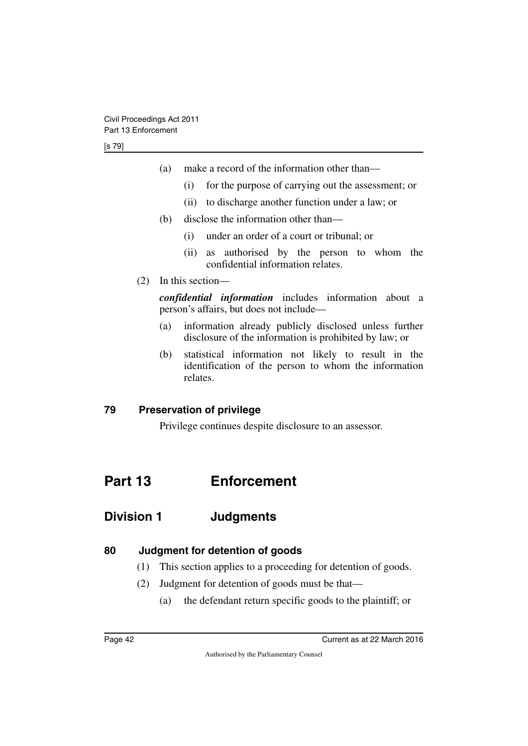- (a) make a record of the information other than—
	- (i) for the purpose of carrying out the assessment; or
	- (ii) to discharge another function under a law; or
- (b) disclose the information other than—
	- (i) under an order of a court or tribunal; or
	- (ii) as authorised by the person to whom the confidential information relates.
- (2) In this section—

*confidential information* includes information about a person's affairs, but does not include—

- (a) information already publicly disclosed unless further disclosure of the information is prohibited by law; or
- (b) statistical information not likely to result in the identification of the person to whom the information relates.

#### <span id="page-43-0"></span>**79 Preservation of privilege**

<span id="page-43-5"></span><span id="page-43-3"></span><span id="page-43-1"></span>Privilege continues despite disclosure to an assessor.

# <span id="page-43-2"></span>**Part 13 Enforcement**

# <span id="page-43-4"></span>**Division 1 Judgments**

#### <span id="page-43-6"></span>**80 Judgment for detention of goods**

- <span id="page-43-7"></span>(1) This section applies to a proceeding for detention of goods.
- (2) Judgment for detention of goods must be that—
	- (a) the defendant return specific goods to the plaintiff; or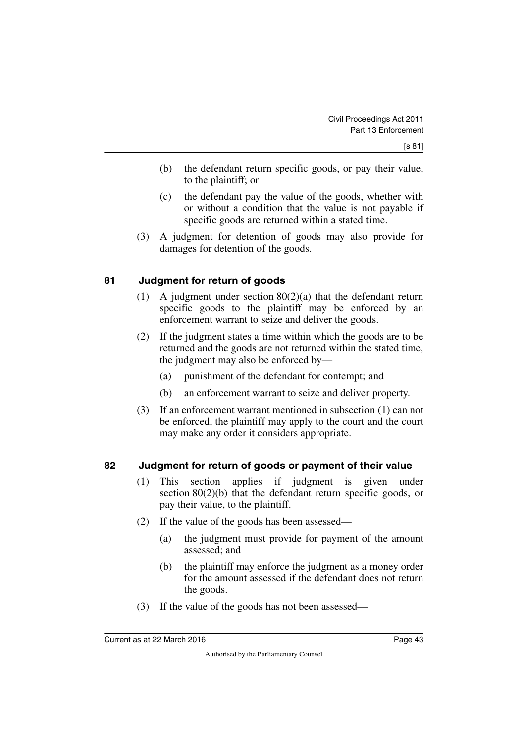- (b) the defendant return specific goods, or pay their value, to the plaintiff; or
- (c) the defendant pay the value of the goods, whether with or without a condition that the value is not payable if specific goods are returned within a stated time.
- (3) A judgment for detention of goods may also provide for damages for detention of the goods.

#### <span id="page-44-0"></span>**81 Judgment for return of goods**

- <span id="page-44-1"></span>(1) A judgment under section  $80(2)(a)$  that the defendant return specific goods to the plaintiff may be enforced by an enforcement warrant to seize and deliver the goods.
- (2) If the judgment states a time within which the goods are to be returned and the goods are not returned within the stated time, the judgment may also be enforced by—
	- (a) punishment of the defendant for contempt; and
	- (b) an enforcement warrant to seize and deliver property.
- (3) If an enforcement warrant mentioned in subsection (1) can not be enforced, the plaintiff may apply to the court and the court may make any order it considers appropriate.

#### <span id="page-44-2"></span>**82 Judgment for return of goods or payment of their value**

- <span id="page-44-3"></span>(1) This section applies if judgment is given under section 80(2)(b) that the defendant return specific goods, or pay their value, to the plaintiff.
- (2) If the value of the goods has been assessed—
	- (a) the judgment must provide for payment of the amount assessed; and
	- (b) the plaintiff may enforce the judgment as a money order for the amount assessed if the defendant does not return the goods.
- (3) If the value of the goods has not been assessed—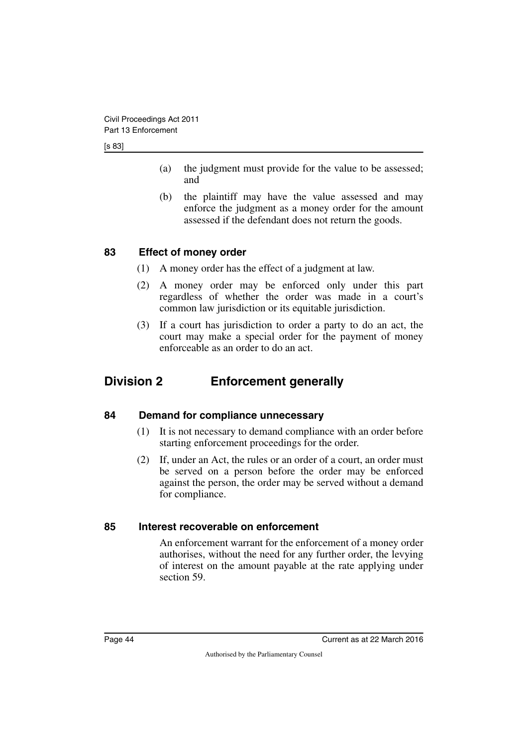[s 83]

- (a) the judgment must provide for the value to be assessed; and
- (b) the plaintiff may have the value assessed and may enforce the judgment as a money order for the amount assessed if the defendant does not return the goods.

### <span id="page-45-0"></span>**83 Effect of money order**

- <span id="page-45-1"></span>(1) A money order has the effect of a judgment at law.
- (2) A money order may be enforced only under this part regardless of whether the order was made in a court's common law jurisdiction or its equitable jurisdiction.
- <span id="page-45-3"></span>(3) If a court has jurisdiction to order a party to do an act, the court may make a special order for the payment of money enforceable as an order to do an act.

# <span id="page-45-2"></span>**Division 2 Enforcement generally**

#### <span id="page-45-4"></span>**84 Demand for compliance unnecessary**

- <span id="page-45-5"></span>(1) It is not necessary to demand compliance with an order before starting enforcement proceedings for the order.
- (2) If, under an Act, the rules or an order of a court, an order must be served on a person before the order may be enforced against the person, the order may be served without a demand for compliance.

#### <span id="page-45-6"></span>**85 Interest recoverable on enforcement**

<span id="page-45-7"></span>An enforcement warrant for the enforcement of a money order authorises, without the need for any further order, the levying of interest on the amount payable at the rate applying under section 59.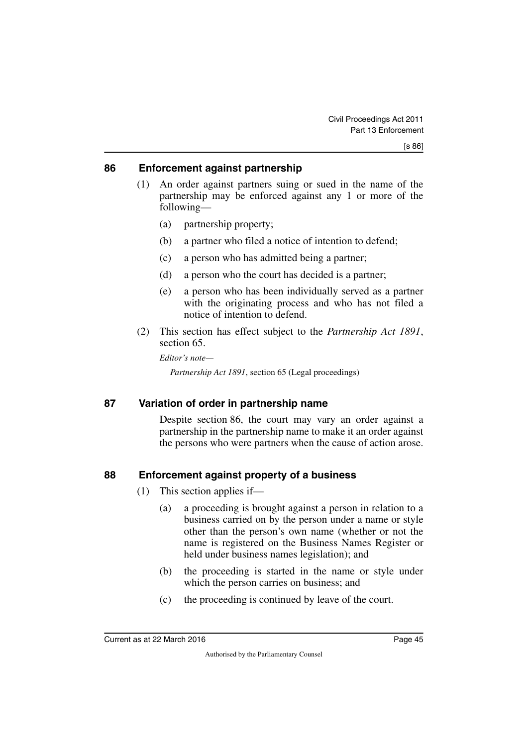#### <span id="page-46-0"></span>**86 Enforcement against partnership**

- <span id="page-46-1"></span>(1) An order against partners suing or sued in the name of the partnership may be enforced against any 1 or more of the following—
	- (a) partnership property;
	- (b) a partner who filed a notice of intention to defend;
	- (c) a person who has admitted being a partner;
	- (d) a person who the court has decided is a partner;
	- (e) a person who has been individually served as a partner with the originating process and who has not filed a notice of intention to defend.
- (2) This section has effect subject to the *Partnership Act 1891*, section 65.

*Editor's note—*

*Partnership Act 1891*, section 65 (Legal proceedings)

#### <span id="page-46-2"></span>**87 Variation of order in partnership name**

<span id="page-46-3"></span>Despite section 86, the court may vary an order against a partnership in the partnership name to make it an order against the persons who were partners when the cause of action arose.

#### <span id="page-46-4"></span>**88 Enforcement against property of a business**

- <span id="page-46-5"></span>(1) This section applies if—
	- (a) a proceeding is brought against a person in relation to a business carried on by the person under a name or style other than the person's own name (whether or not the name is registered on the Business Names Register or held under business names legislation); and
	- (b) the proceeding is started in the name or style under which the person carries on business; and
	- (c) the proceeding is continued by leave of the court.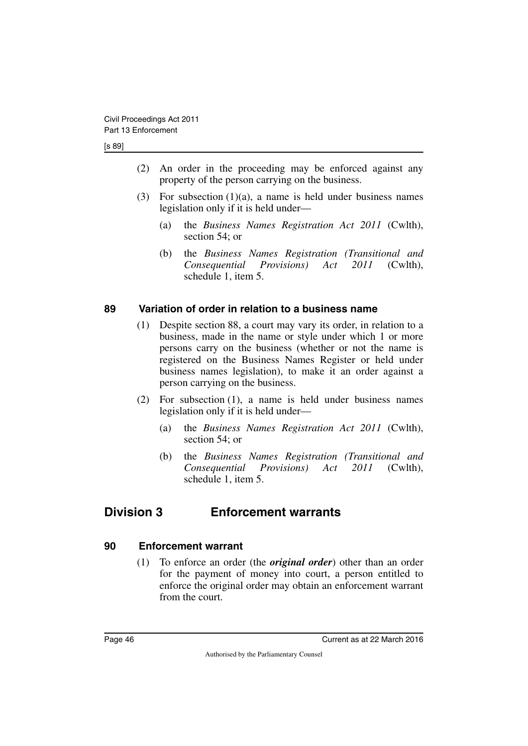#### [s 89]

- (2) An order in the proceeding may be enforced against any property of the person carrying on the business.
- (3) For subsection  $(1)(a)$ , a name is held under business names legislation only if it is held under—
	- (a) the *Business Names Registration Act 2011* (Cwlth), section 54; or
	- (b) the *Business Names Registration (Transitional and Consequential Provisions) Act 2011* (Cwlth), schedule 1, item 5.

#### <span id="page-47-0"></span>**89 Variation of order in relation to a business name**

- <span id="page-47-1"></span>(1) Despite section 88, a court may vary its order, in relation to a business, made in the name or style under which 1 or more persons carry on the business (whether or not the name is registered on the Business Names Register or held under business names legislation), to make it an order against a person carrying on the business.
- (2) For subsection (1), a name is held under business names legislation only if it is held under—
	- (a) the *Business Names Registration Act 2011* (Cwlth), section 54; or
	- (b) the *Business Names Registration (Transitional and Consequential Provisions) Act 2011* (Cwlth), schedule 1, item 5.

### <span id="page-47-2"></span>**Division 3 Enforcement warrants**

#### <span id="page-47-4"></span>**90 Enforcement warrant**

<span id="page-47-5"></span><span id="page-47-3"></span>(1) To enforce an order (the *original order*) other than an order for the payment of money into court, a person entitled to enforce the original order may obtain an enforcement warrant from the court.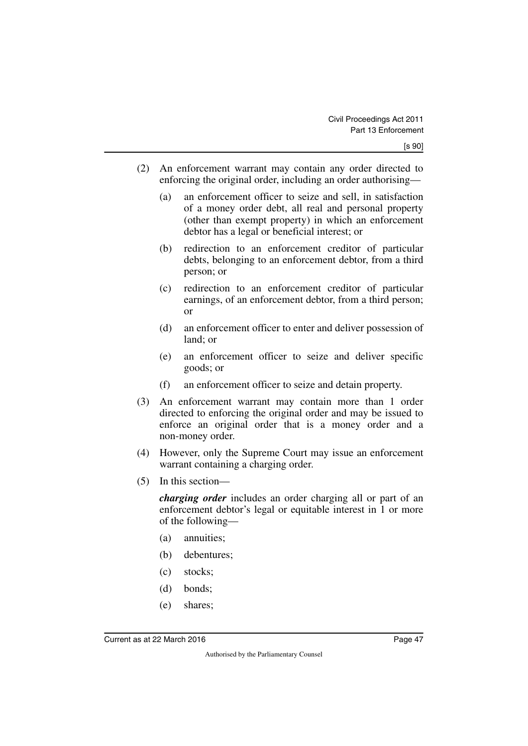- (2) An enforcement warrant may contain any order directed to enforcing the original order, including an order authorising—
	- (a) an enforcement officer to seize and sell, in satisfaction of a money order debt, all real and personal property (other than exempt property) in which an enforcement debtor has a legal or beneficial interest; or
	- (b) redirection to an enforcement creditor of particular debts, belonging to an enforcement debtor, from a third person; or
	- (c) redirection to an enforcement creditor of particular earnings, of an enforcement debtor, from a third person; or
	- (d) an enforcement officer to enter and deliver possession of land; or
	- (e) an enforcement officer to seize and deliver specific goods; or
	- (f) an enforcement officer to seize and detain property.
- (3) An enforcement warrant may contain more than 1 order directed to enforcing the original order and may be issued to enforce an original order that is a money order and a non-money order.
- (4) However, only the Supreme Court may issue an enforcement warrant containing a charging order.
- (5) In this section—

*charging order* includes an order charging all or part of an enforcement debtor's legal or equitable interest in 1 or more of the following—

- (a) annuities;
- (b) debentures;
- (c) stocks;
- (d) bonds;
- (e) shares;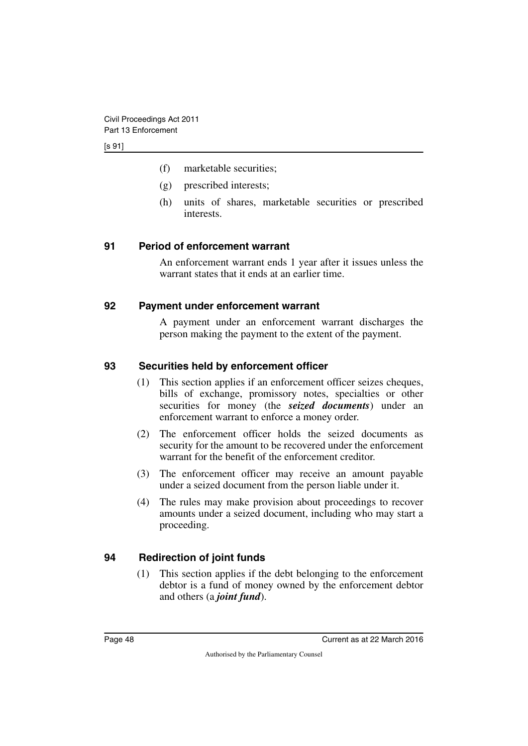- (f) marketable securities;
- (g) prescribed interests;
- (h) units of shares, marketable securities or prescribed interests.

#### <span id="page-49-0"></span>**91 Period of enforcement warrant**

<span id="page-49-1"></span>An enforcement warrant ends 1 year after it issues unless the warrant states that it ends at an earlier time.

#### <span id="page-49-2"></span>**92 Payment under enforcement warrant**

<span id="page-49-3"></span>A payment under an enforcement warrant discharges the person making the payment to the extent of the payment.

#### <span id="page-49-4"></span>**93 Securities held by enforcement officer**

- <span id="page-49-5"></span>(1) This section applies if an enforcement officer seizes cheques, bills of exchange, promissory notes, specialties or other securities for money (the *seized documents*) under an enforcement warrant to enforce a money order.
- (2) The enforcement officer holds the seized documents as security for the amount to be recovered under the enforcement warrant for the benefit of the enforcement creditor.
- (3) The enforcement officer may receive an amount payable under a seized document from the person liable under it.
- (4) The rules may make provision about proceedings to recover amounts under a seized document, including who may start a proceeding.

#### <span id="page-49-6"></span>**94 Redirection of joint funds**

<span id="page-49-7"></span>(1) This section applies if the debt belonging to the enforcement debtor is a fund of money owned by the enforcement debtor and others (a *joint fund*).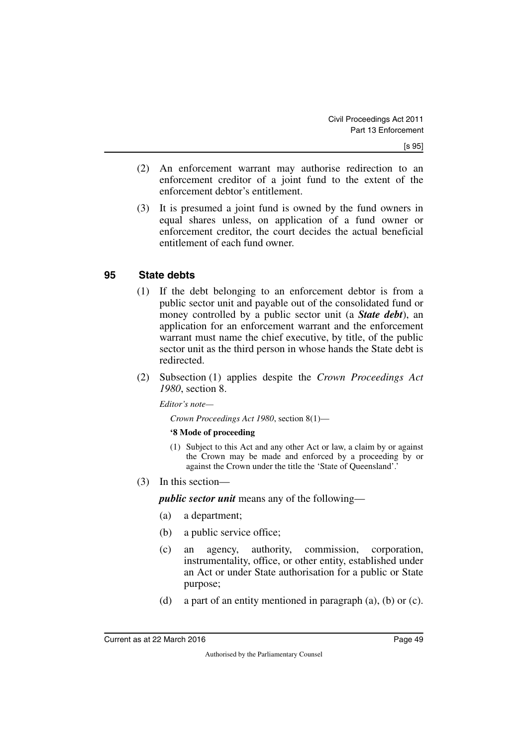- (2) An enforcement warrant may authorise redirection to an enforcement creditor of a joint fund to the extent of the enforcement debtor's entitlement.
- (3) It is presumed a joint fund is owned by the fund owners in equal shares unless, on application of a fund owner or enforcement creditor, the court decides the actual beneficial entitlement of each fund owner.

#### <span id="page-50-0"></span>**95 State debts**

- <span id="page-50-1"></span>(1) If the debt belonging to an enforcement debtor is from a public sector unit and payable out of the consolidated fund or money controlled by a public sector unit (a *State debt*), an application for an enforcement warrant and the enforcement warrant must name the chief executive, by title, of the public sector unit as the third person in whose hands the State debt is redirected.
- (2) Subsection (1) applies despite the *Crown Proceedings Act 1980*, section 8.

*Editor's note—*

*Crown Proceedings Act 1980*, section 8(1)—

#### **'8 Mode of proceeding**

- (1) Subject to this Act and any other Act or law, a claim by or against the Crown may be made and enforced by a proceeding by or against the Crown under the title the 'State of Queensland'.'
- (3) In this section—

*public sector unit* means any of the following—

- (a) a department;
- (b) a public service office;
- (c) an agency, authority, commission, corporation, instrumentality, office, or other entity, established under an Act or under State authorisation for a public or State purpose;
- (d) a part of an entity mentioned in paragraph (a), (b) or (c).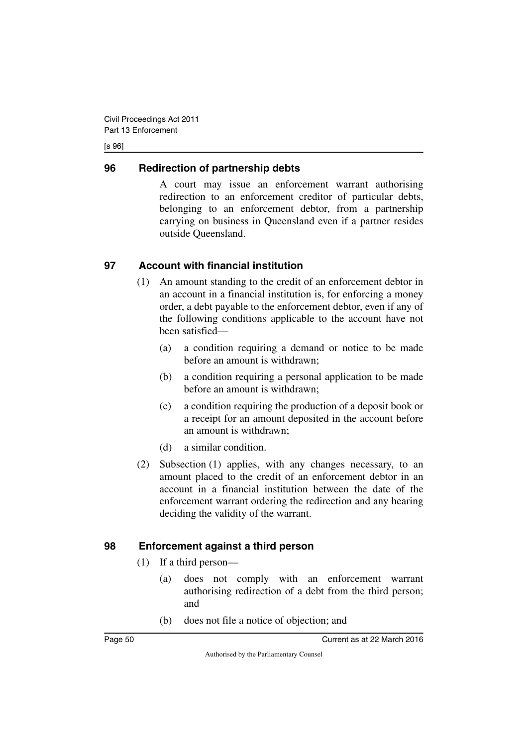#### [s 96]

#### <span id="page-51-0"></span>**96 Redirection of partnership debts**

<span id="page-51-1"></span>A court may issue an enforcement warrant authorising redirection to an enforcement creditor of particular debts, belonging to an enforcement debtor, from a partnership carrying on business in Queensland even if a partner resides outside Queensland.

### <span id="page-51-2"></span>**97 Account with financial institution**

- <span id="page-51-3"></span>(1) An amount standing to the credit of an enforcement debtor in an account in a financial institution is, for enforcing a money order, a debt payable to the enforcement debtor, even if any of the following conditions applicable to the account have not been satisfied—
	- (a) a condition requiring a demand or notice to be made before an amount is withdrawn;
	- (b) a condition requiring a personal application to be made before an amount is withdrawn;
	- (c) a condition requiring the production of a deposit book or a receipt for an amount deposited in the account before an amount is withdrawn;
	- (d) a similar condition.
- (2) Subsection (1) applies, with any changes necessary, to an amount placed to the credit of an enforcement debtor in an account in a financial institution between the date of the enforcement warrant ordering the redirection and any hearing deciding the validity of the warrant.

### <span id="page-51-4"></span>**98 Enforcement against a third person**

- <span id="page-51-5"></span>(1) If a third person—
	- (a) does not comply with an enforcement warrant authorising redirection of a debt from the third person; and
	- (b) does not file a notice of objection; and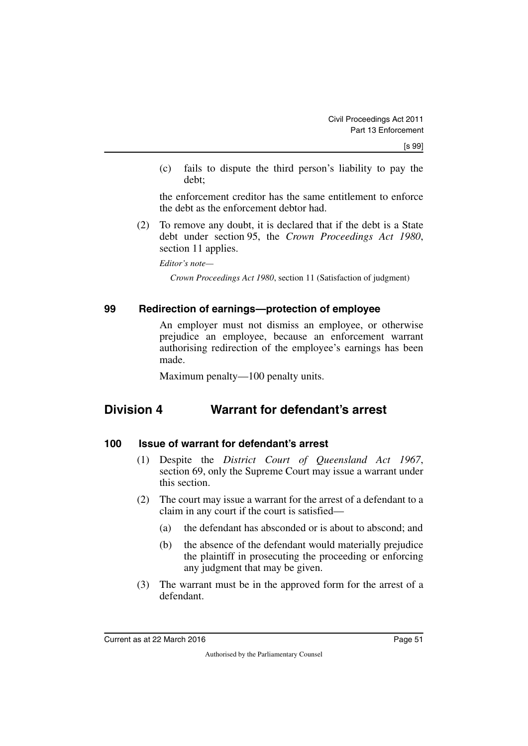(c) fails to dispute the third person's liability to pay the debt;

the enforcement creditor has the same entitlement to enforce the debt as the enforcement debtor had.

(2) To remove any doubt, it is declared that if the debt is a State debt under section 95, the *Crown Proceedings Act 1980*, section 11 applies.

*Editor's note—*

*Crown Proceedings Act 1980*, section 11 (Satisfaction of judgment)

#### <span id="page-52-0"></span>**99 Redirection of earnings—protection of employee**

<span id="page-52-1"></span>An employer must not dismiss an employee, or otherwise prejudice an employee, because an enforcement warrant authorising redirection of the employee's earnings has been made.

<span id="page-52-3"></span>Maximum penalty—100 penalty units.

### <span id="page-52-2"></span>**Division 4 Warrant for defendant's arrest**

#### <span id="page-52-4"></span>**100 Issue of warrant for defendant's arrest**

- <span id="page-52-5"></span>(1) Despite the *District Court of Queensland Act 1967*, section 69, only the Supreme Court may issue a warrant under this section.
- (2) The court may issue a warrant for the arrest of a defendant to a claim in any court if the court is satisfied—
	- (a) the defendant has absconded or is about to abscond; and
	- (b) the absence of the defendant would materially prejudice the plaintiff in prosecuting the proceeding or enforcing any judgment that may be given.
- (3) The warrant must be in the approved form for the arrest of a defendant.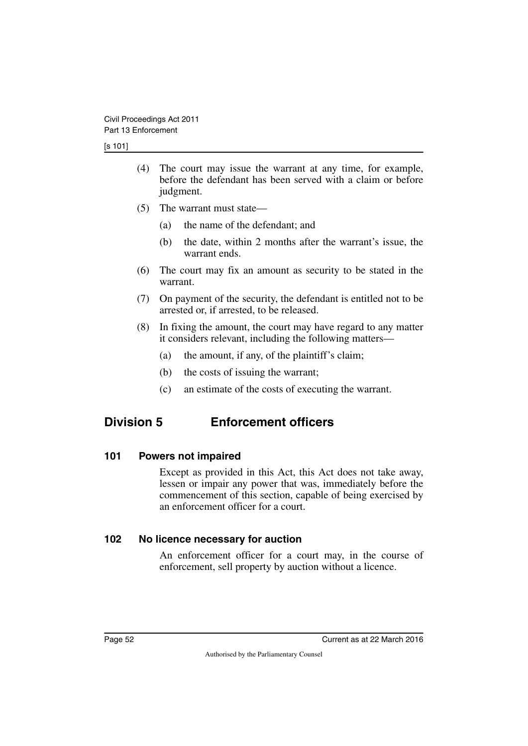- (4) The court may issue the warrant at any time, for example, before the defendant has been served with a claim or before judgment.
- (5) The warrant must state—
	- (a) the name of the defendant; and
	- (b) the date, within 2 months after the warrant's issue, the warrant ends.
- (6) The court may fix an amount as security to be stated in the warrant.
- (7) On payment of the security, the defendant is entitled not to be arrested or, if arrested, to be released.
- (8) In fixing the amount, the court may have regard to any matter it considers relevant, including the following matters—
	- (a) the amount, if any, of the plaintiff's claim;
	- (b) the costs of issuing the warrant;
	- (c) an estimate of the costs of executing the warrant.

# <span id="page-53-0"></span>**Division 5 Enforcement officers**

#### <span id="page-53-2"></span>**101 Powers not impaired**

<span id="page-53-3"></span><span id="page-53-1"></span>Except as provided in this Act, this Act does not take away, lessen or impair any power that was, immediately before the commencement of this section, capable of being exercised by an enforcement officer for a court.

#### <span id="page-53-4"></span>**102 No licence necessary for auction**

<span id="page-53-5"></span>An enforcement officer for a court may, in the course of enforcement, sell property by auction without a licence.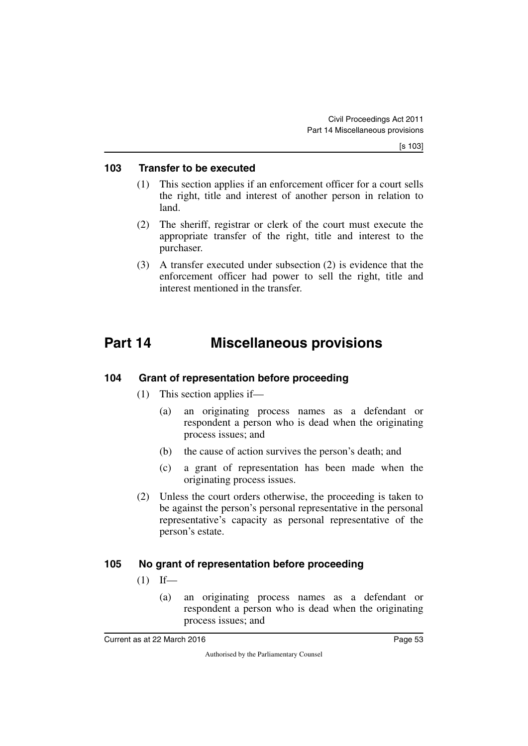#### <span id="page-54-0"></span>**103 Transfer to be executed**

- <span id="page-54-1"></span>(1) This section applies if an enforcement officer for a court sells the right, title and interest of another person in relation to land.
- (2) The sheriff, registrar or clerk of the court must execute the appropriate transfer of the right, title and interest to the purchaser.
- (3) A transfer executed under subsection (2) is evidence that the enforcement officer had power to sell the right, title and interest mentioned in the transfer.

# <span id="page-54-2"></span>**Part 14 Miscellaneous provisions**

#### <span id="page-54-4"></span>**104 Grant of representation before proceeding**

- <span id="page-54-5"></span><span id="page-54-3"></span>(1) This section applies if—
	- (a) an originating process names as a defendant or respondent a person who is dead when the originating process issues; and
	- (b) the cause of action survives the person's death; and
	- (c) a grant of representation has been made when the originating process issues.
- (2) Unless the court orders otherwise, the proceeding is taken to be against the person's personal representative in the personal representative's capacity as personal representative of the person's estate.

#### <span id="page-54-6"></span>**105 No grant of representation before proceeding**

- <span id="page-54-7"></span> $(1)$  If—
	- (a) an originating process names as a defendant or respondent a person who is dead when the originating process issues; and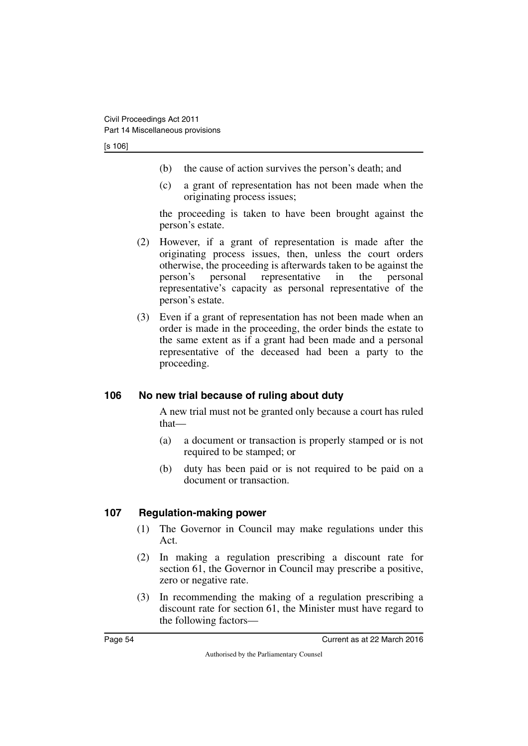[s 106]

- (b) the cause of action survives the person's death; and
- (c) a grant of representation has not been made when the originating process issues;

the proceeding is taken to have been brought against the person's estate.

- (2) However, if a grant of representation is made after the originating process issues, then, unless the court orders otherwise, the proceeding is afterwards taken to be against the person's personal representative in the personal representative's capacity as personal representative of the person's estate.
- (3) Even if a grant of representation has not been made when an order is made in the proceeding, the order binds the estate to the same extent as if a grant had been made and a personal representative of the deceased had been a party to the proceeding.

#### <span id="page-55-0"></span>**106 No new trial because of ruling about duty**

<span id="page-55-1"></span>A new trial must not be granted only because a court has ruled that—

- (a) a document or transaction is properly stamped or is not required to be stamped; or
- (b) duty has been paid or is not required to be paid on a document or transaction.

#### <span id="page-55-2"></span>**107 Regulation-making power**

- <span id="page-55-3"></span>(1) The Governor in Council may make regulations under this Act.
- (2) In making a regulation prescribing a discount rate for section 61, the Governor in Council may prescribe a positive, zero or negative rate.
- (3) In recommending the making of a regulation prescribing a discount rate for section 61, the Minister must have regard to the following factors—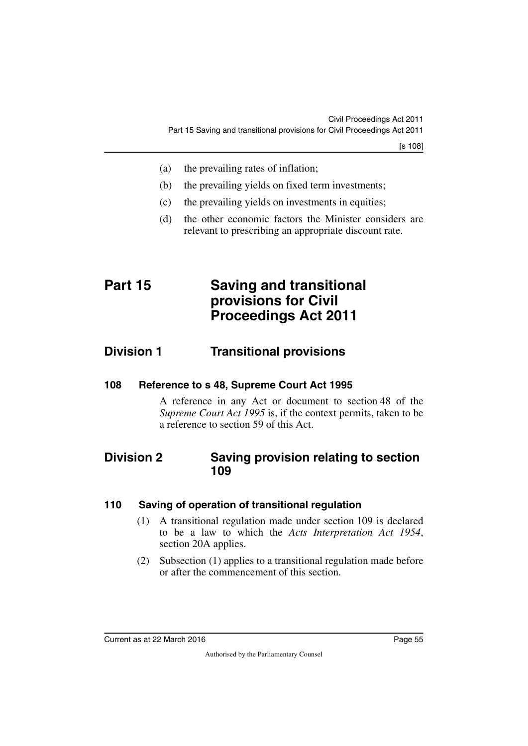- (a) the prevailing rates of inflation;
- (b) the prevailing yields on fixed term investments;
- (c) the prevailing yields on investments in equities;
- <span id="page-56-1"></span>(d) the other economic factors the Minister considers are relevant to prescribing an appropriate discount rate.

# <span id="page-56-0"></span>**Part 15 Saving and transitional provisions for Civil Proceedings Act 2011**

### <span id="page-56-2"></span>**Division 1 Transitional provisions**

<span id="page-56-4"></span>**108 Reference to s 48, Supreme Court Act 1995**

<span id="page-56-7"></span><span id="page-56-5"></span><span id="page-56-3"></span>A reference in any Act or document to section 48 of the *Supreme Court Act 1995* is, if the context permits, taken to be a reference to section 59 of this Act.

### <span id="page-56-6"></span>**Division 2 Saving provision relating to section 109**

#### <span id="page-56-8"></span>**110 Saving of operation of transitional regulation**

- <span id="page-56-9"></span>(1) A transitional regulation made under section 109 is declared to be a law to which the *Acts Interpretation Act 1954*, section 20A applies.
- (2) Subsection (1) applies to a transitional regulation made before or after the commencement of this section.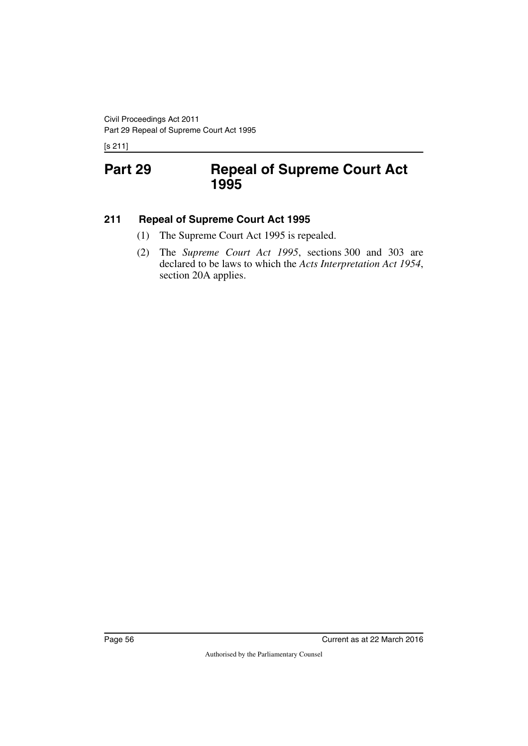<span id="page-57-1"></span><span id="page-57-0"></span>[s 211]

# **Part 29 Repeal of Supreme Court Act 1995**

#### <span id="page-57-2"></span>**211 Repeal of Supreme Court Act 1995**

- <span id="page-57-3"></span>(1) The Supreme Court Act 1995 is repealed.
- (2) The *Supreme Court Act 1995*, sections 300 and 303 are declared to be laws to which the *Acts Interpretation Act 1954*, section 20A applies.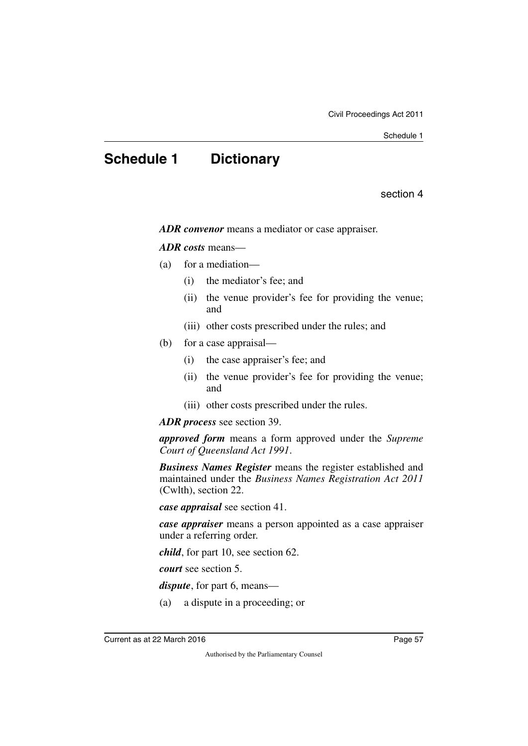# <span id="page-58-0"></span>**Schedule 1 Dictionary**

section 4

<span id="page-58-1"></span>*ADR convenor* means a mediator or case appraiser.

#### *ADR costs* means—

- (a) for a mediation—
	- (i) the mediator's fee; and
	- (ii) the venue provider's fee for providing the venue; and
	- (iii) other costs prescribed under the rules; and
- (b) for a case appraisal—
	- (i) the case appraiser's fee; and
	- (ii) the venue provider's fee for providing the venue; and
	- (iii) other costs prescribed under the rules.

*ADR process* see section 39.

*approved form* means a form approved under the *Supreme Court of Queensland Act 1991*.

*Business Names Register* means the register established and maintained under the *Business Names Registration Act 2011* (Cwlth), section 22.

*case appraisal* see section 41.

*case appraiser* means a person appointed as a case appraiser under a referring order.

*child*, for part 10, see section 62.

*court* see section 5.

*dispute*, for part 6, means—

(a) a dispute in a proceeding; or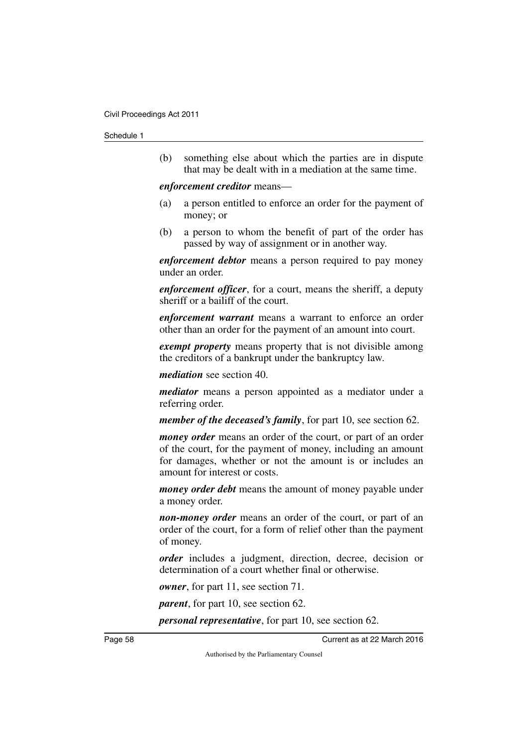#### Schedule 1

(b) something else about which the parties are in dispute that may be dealt with in a mediation at the same time.

#### *enforcement creditor* means—

- (a) a person entitled to enforce an order for the payment of money; or
- (b) a person to whom the benefit of part of the order has passed by way of assignment or in another way.

*enforcement debtor* means a person required to pay money under an order.

*enforcement officer*, for a court, means the sheriff, a deputy sheriff or a bailiff of the court.

*enforcement warrant* means a warrant to enforce an order other than an order for the payment of an amount into court.

*exempt property* means property that is not divisible among the creditors of a bankrupt under the bankruptcy law.

*mediation* see section 40.

*mediator* means a person appointed as a mediator under a referring order.

*member of the deceased's family*, for part 10, see section 62.

*money order* means an order of the court, or part of an order of the court, for the payment of money, including an amount for damages, whether or not the amount is or includes an amount for interest or costs.

*money order debt* means the amount of money payable under a money order.

*non-money order* means an order of the court, or part of an order of the court, for a form of relief other than the payment of money.

*order* includes a judgment, direction, decree, decision or determination of a court whether final or otherwise.

*owner*, for part 11, see section 71.

*parent*, for part 10, see section 62.

*personal representative*, for part 10, see section 62.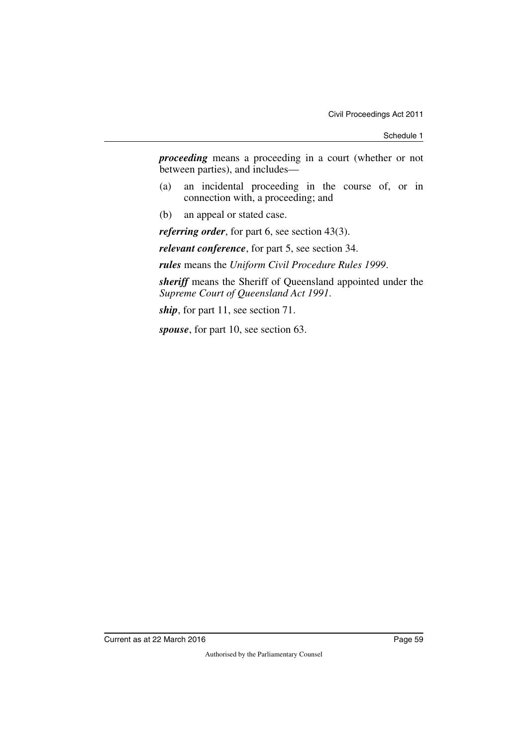Schedule 1

*proceeding* means a proceeding in a court (whether or not between parties), and includes—

- (a) an incidental proceeding in the course of, or in connection with, a proceeding; and
- (b) an appeal or stated case.

*referring order*, for part 6, see section 43(3).

*relevant conference*, for part 5, see section 34.

*rules* means the *Uniform Civil Procedure Rules 1999*.

*sheriff* means the Sheriff of Queensland appointed under the *Supreme Court of Queensland Act 1991*.

*ship*, for part 11, see section 71.

*spouse*, for part 10, see section 63.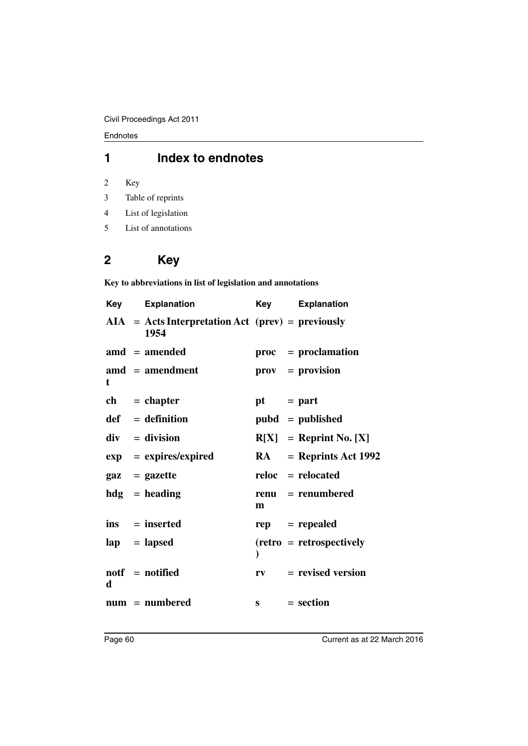Endnotes

### **1 Index to endnotes**

2 Key

- 3 Table of reprints
- 4 List of legislation
- 5 List of annotations

# **2 Key**

**Key to abbreviations in list of legislation and annotations**

| Key | <b>Explanation</b>                                          | Key          | <b>Explanation</b>              |
|-----|-------------------------------------------------------------|--------------|---------------------------------|
|     | $AIA = Acts Interpretation Act (prev) = previously$<br>1954 |              |                                 |
|     | $\text{and} = \text{amended}$                               |              | $proc = production$             |
| t   | $\mathbf{a} \mathbf{m} \mathbf{d}$ = amendment              |              | $\mathbf{prox} = \mathbf{prox}$ |
|     | $ch = chapter$                                              | $pt = part$  |                                 |
|     | $def = definition$                                          |              | $pubd = published$              |
|     | $div = division$                                            |              | $R[X] =$ Reprint No. [X]        |
|     | $exp = expires/expired$                                     |              | $RA$ = Reprints Act 1992        |
|     | $\mathbf{gaz} = \mathbf{gazette}$                           |              | reloc = relocated               |
|     | $hdg =$ heading                                             | m            | renu = renumbered               |
|     | $ins = inserted$                                            |              | $rep = rep\text{ }$             |
|     | $\mathbf{lap} = \mathbf{lapsed}$                            |              | $(retro = retrospectively)$     |
| d   | $notf = notified$                                           | $r_{V}$      | $=$ revised version             |
|     | $num = numbered$                                            | $\mathbf{s}$ | $= section$                     |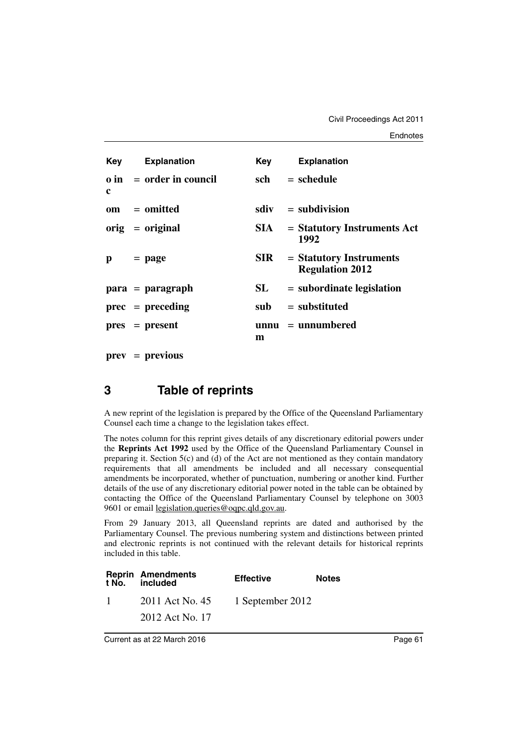| <b>Key</b> Explanation<br><b>Explanation</b><br>Key<br>$\theta$ in = order in council<br>sch<br>$=$ schedule<br>c<br>$sdiv = subdivision$<br>om = omitted<br>$orig = original$<br>SIA –<br>1992<br><b>SIR</b><br>$=$ Statutory Instruments<br>$=$ page<br>p<br><b>Regulation 2012</b><br>SL<br>$=$ subordinate legislation<br>$para = paragraph$<br>$=$ substituted<br>$prec = preceding$<br>sub<br>$unnu = unnumbered$<br>$pres = present$<br>m |  |  |                               |
|--------------------------------------------------------------------------------------------------------------------------------------------------------------------------------------------------------------------------------------------------------------------------------------------------------------------------------------------------------------------------------------------------------------------------------------------------|--|--|-------------------------------|
|                                                                                                                                                                                                                                                                                                                                                                                                                                                  |  |  |                               |
|                                                                                                                                                                                                                                                                                                                                                                                                                                                  |  |  |                               |
|                                                                                                                                                                                                                                                                                                                                                                                                                                                  |  |  |                               |
|                                                                                                                                                                                                                                                                                                                                                                                                                                                  |  |  | $=$ Statutory Instruments Act |
|                                                                                                                                                                                                                                                                                                                                                                                                                                                  |  |  |                               |
|                                                                                                                                                                                                                                                                                                                                                                                                                                                  |  |  |                               |
|                                                                                                                                                                                                                                                                                                                                                                                                                                                  |  |  |                               |
|                                                                                                                                                                                                                                                                                                                                                                                                                                                  |  |  |                               |

**prev** = **previous**

### **3 Table of reprints**

A new reprint of the legislation is prepared by the Office of the Queensland Parliamentary Counsel each time a change to the legislation takes effect.

The notes column for this reprint gives details of any discretionary editorial powers under the **Reprints Act 1992** used by the Office of the Queensland Parliamentary Counsel in preparing it. Section 5(c) and (d) of the Act are not mentioned as they contain mandatory requirements that all amendments be included and all necessary consequential amendments be incorporated, whether of punctuation, numbering or another kind. Further details of the use of any discretionary editorial power noted in the table can be obtained by contacting the Office of the Queensland Parliamentary Counsel by telephone on 3003 9601 or email legislation.queries@oqpc.qld.gov.au.

From 29 January 2013, all Queensland reprints are dated and authorised by the Parliamentary Counsel. The previous numbering system and distinctions between printed and electronic reprints is not continued with the relevant details for historical reprints included in this table.

|              | <b>Reprin Amendments</b><br>t No. included | <b>Effective</b> | <b>Notes</b> |
|--------------|--------------------------------------------|------------------|--------------|
| $\mathbf{1}$ | 2011 Act No. 45                            | 1 September 2012 |              |
|              | 2012 Act No. 17                            |                  |              |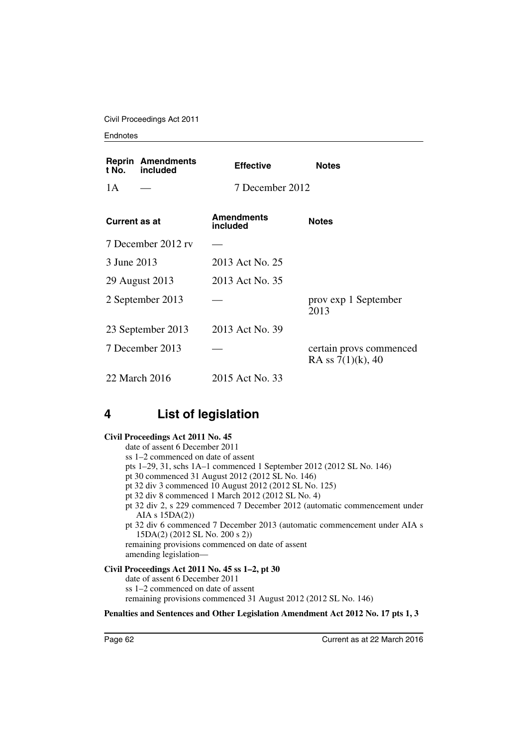Civil Proceedings Act 2011

#### **Endnotes**

| t No.            | <b>Reprin Amendments</b><br>included | <b>Effective</b>              | <b>Notes</b>                                    |
|------------------|--------------------------------------|-------------------------------|-------------------------------------------------|
| 1A               |                                      | 7 December 2012               |                                                 |
| Current as at    |                                      | <b>Amendments</b><br>included | <b>Notes</b>                                    |
|                  | 7 December 2012 rv                   |                               |                                                 |
| 3 June 2013      |                                      | 2013 Act No. 25               |                                                 |
|                  | 29 August 2013                       | 2013 Act No. 35               |                                                 |
| 2 September 2013 |                                      |                               | prov exp 1 September<br>2013                    |
|                  | 23 September 2013                    | 2013 Act No. 39               |                                                 |
| 7 December 2013  |                                      |                               | certain provs commenced<br>RA ss $7(1)(k)$ , 40 |
|                  | 22 March 2016                        | 2015 Act No. 33               |                                                 |

### **4 List of legislation**

#### **Civil Proceedings Act 2011 No. 45**

date of assent 6 December 2011 ss 1–2 commenced on date of assent pts 1–29, 31, schs 1A–1 commenced 1 September 2012 (2012 SL No. 146) pt 30 commenced 31 August 2012 (2012 SL No. 146) pt 32 div 3 commenced 10 August 2012 (2012 SL No. 125) pt 32 div 8 commenced 1 March 2012 (2012 SL No. 4) pt 32 div 2, s 229 commenced 7 December 2012 (automatic commencement under AIA s 15DA(2)) pt 32 div 6 commenced 7 December 2013 (automatic commencement under AIA s 15DA(2) (2012 SL No. 200 s 2)) remaining provisions commenced on date of assent amending legislation— **Civil Proceedings Act 2011 No. 45 ss 1–2, pt 30**

date of assent 6 December 2011 ss 1–2 commenced on date of assent remaining provisions commenced 31 August 2012 (2012 SL No. 146)

#### **Penalties and Sentences and Other Legislation Amendment Act 2012 No. 17 pts 1, 3**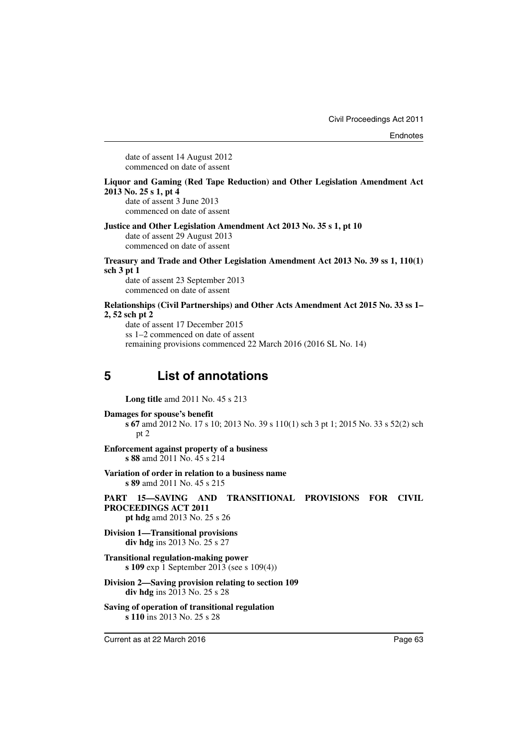date of assent 14 August 2012 commenced on date of assent

#### **Liquor and Gaming (Red Tape Reduction) and Other Legislation Amendment Act 2013 No. 25 s 1, pt 4**

date of assent 3 June 2013 commenced on date of assent

#### **Justice and Other Legislation Amendment Act 2013 No. 35 s 1, pt 10**

date of assent 29 August 2013 commenced on date of assent

**Treasury and Trade and Other Legislation Amendment Act 2013 No. 39 ss 1, 110(1) sch 3 pt 1**

date of assent 23 September 2013 commenced on date of assent

#### **Relationships (Civil Partnerships) and Other Acts Amendment Act 2015 No. 33 ss 1– 2, 52 sch pt 2**

date of assent 17 December 2015 ss 1–2 commenced on date of assent remaining provisions commenced 22 March 2016 (2016 SL No. 14)

# **5 List of annotations**

**Long title** amd 2011 No. 45 s 213

**Damages for spouse's benefit**

**s 67** amd 2012 No. 17 s 10; 2013 No. 39 s 110(1) sch 3 pt 1; 2015 No. 33 s 52(2) sch pt 2

- **Enforcement against property of a business s 88** amd 2011 No. 45 s 214
- **Variation of order in relation to a business name s 89** amd 2011 No. 45 s 215
- **PART 15—SAVING AND TRANSITIONAL PROVISIONS FOR CIVIL PROCEEDINGS ACT 2011**
	- **pt hdg** amd 2013 No. 25 s 26
- **Division 1—Transitional provisions div hdg** ins 2013 No. 25 s 27
- **Transitional regulation-making power s 109** exp 1 September 2013 (see s 109(4))
- **Division 2—Saving provision relating to section 109 div hdg** ins 2013 No. 25 s 28
- **Saving of operation of transitional regulation s 110** ins 2013 No. 25 s 28